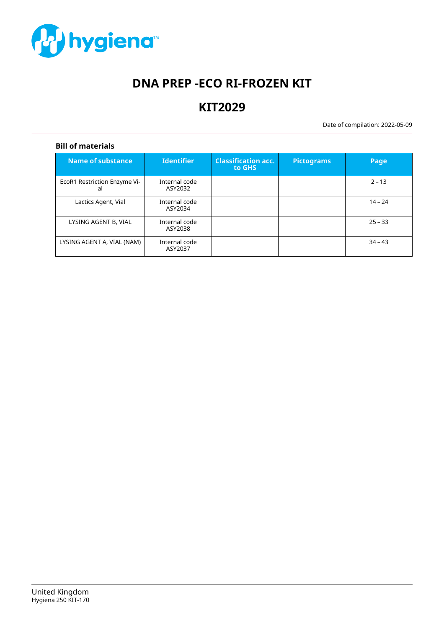

# **DNA PREP -ECO RI-FROZEN KIT**

# **KIT2029**

Date of compilation: 2022-05-09

# **Bill of materials**

| <b>Name of substance</b>           | <b>Identifier</b>        | <b>Classification acc.</b><br>to GHS | <b>Pictograms</b> | Page      |
|------------------------------------|--------------------------|--------------------------------------|-------------------|-----------|
| EcoR1 Restriction Enzyme Vi-<br>al | Internal code<br>ASY2032 |                                      |                   | $2 - 13$  |
| Lactics Agent, Vial                | Internal code<br>ASY2034 |                                      |                   | $14 - 24$ |
| LYSING AGENT B, VIAL               | Internal code<br>ASY2038 |                                      |                   | $25 - 33$ |
| LYSING AGENT A, VIAL (NAM)         | Internal code<br>ASY2037 |                                      |                   | $34 - 43$ |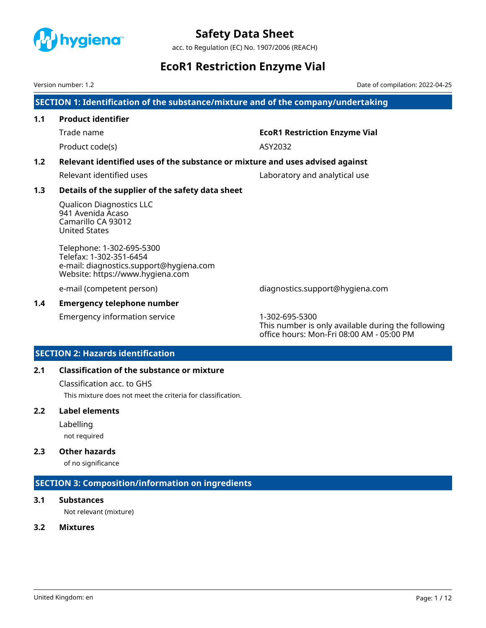<span id="page-1-0"></span>

acc. to Regulation (EC) No. 1907/2006 (REACH)

# **EcoR1 Restriction Enzyme Vial**

Version number: 1.2 Date of compilation: 2022-04-25

**SECTION 1: Identification of the substance/mixture and of the company/undertaking**

# **1.1 Product identifier**

Trade name **EcoR1 Restriction Enzyme Vial**

Product code(s) and a series are a series of the ASY2032

# **1.2 Relevant identified uses of the substance or mixture and uses advised against**

Relevant identified uses **Laboratory and analytical use** 

# **1.3 Details of the supplier of the safety data sheet**

Qualicon Diagnostics LLC 941 Avenida Acaso Camarillo CA 93012 United States

Telephone: 1-302-695-5300 Telefax: 1-302-351-6454 e-mail: diagnostics.support@hygiena.com Website: https://www.hygiena.com

# **1.4 Emergency telephone number**

Emergency information service 1-302-695-5300

e-mail (competent person) diagnostics.support@hygiena.com

This number is only available during the following office hours: Mon-Fri 08:00 AM - 05:00 PM

# **SECTION 2: Hazards identification**

# **2.1 Classification of the substance or mixture**

Classification acc. to GHS This mixture does not meet the criteria for classification.

# **2.2 Label elements**

Labelling

not required

# **2.3 Other hazards**

of no significance

# **SECTION 3: Composition/information on ingredients**

# **3.1 Substances**

Not relevant (mixture)

# **3.2 Mixtures**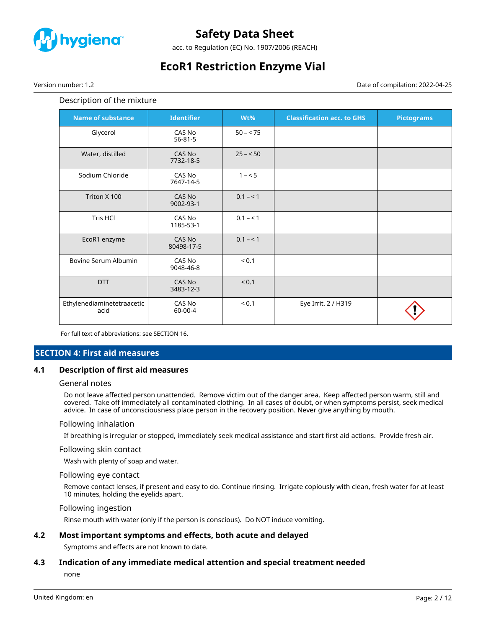

acc. to Regulation (EC) No. 1907/2006 (REACH)

# **EcoR1 Restriction Enzyme Vial**

Version number: 1.2 Date of compilation: 2022-04-25

### Description of the mixture

| <b>Name of substance</b>           | <b>Identifier</b>       | Wt%        | <b>Classification acc. to GHS</b> | <b>Pictograms</b> |
|------------------------------------|-------------------------|------------|-----------------------------------|-------------------|
| Glycerol                           | CAS No<br>$56 - 81 - 5$ | $50 - 75$  |                                   |                   |
| Water, distilled                   | CAS No<br>7732-18-5     | $25 - 50$  |                                   |                   |
| Sodium Chloride                    | CAS No<br>7647-14-5     | $1 - 5$    |                                   |                   |
| Triton X 100                       | CAS No<br>9002-93-1     | $0.1 - 1$  |                                   |                   |
| Tris HCl                           | CAS No<br>1185-53-1     | $0.1 - 1$  |                                   |                   |
| EcoR1 enzyme                       | CAS No<br>80498-17-5    | $0.1 - 1$  |                                   |                   |
| Bovine Serum Albumin               | CAS No<br>9048-46-8     | ${}_{0.1}$ |                                   |                   |
| <b>DTT</b>                         | CAS No<br>3483-12-3     | < 0.1      |                                   |                   |
| Ethylenediaminetetraacetic<br>acid | CAS No<br>60-00-4       | ${}_{0.1}$ | Eye Irrit. 2 / H319               |                   |

For full text of abbreviations: see SECTION 16.

### **SECTION 4: First aid measures**

### **4.1 Description of first aid measures**

#### General notes

Do not leave affected person unattended. Remove victim out of the danger area. Keep affected person warm, still and covered. Take off immediately all contaminated clothing. In all cases of doubt, or when symptoms persist, seek medical advice. In case of unconsciousness place person in the recovery position. Never give anything by mouth.

#### Following inhalation

If breathing is irregular or stopped, immediately seek medical assistance and start first aid actions. Provide fresh air.

#### Following skin contact

Wash with plenty of soap and water.

#### Following eye contact

Remove contact lenses, if present and easy to do. Continue rinsing. Irrigate copiously with clean, fresh water for at least 10 minutes, holding the eyelids apart.

#### Following ingestion

Rinse mouth with water (only if the person is conscious). Do NOT induce vomiting.

#### **4.2 Most important symptoms and effects, both acute and delayed**

Symptoms and effects are not known to date.

### **4.3 Indication of any immediate medical attention and special treatment needed**

none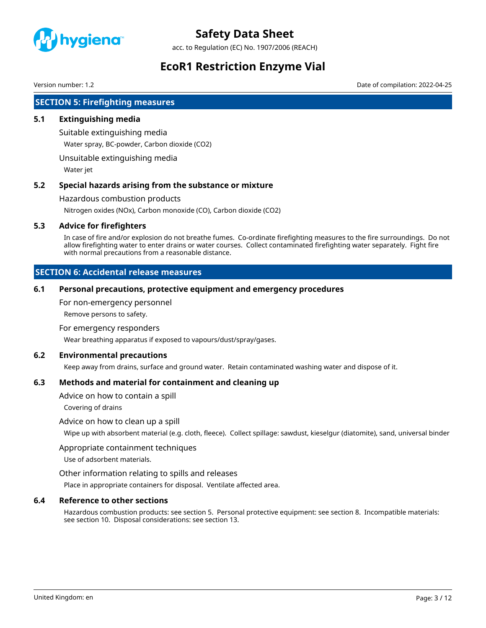

acc. to Regulation (EC) No. 1907/2006 (REACH)

# **EcoR1 Restriction Enzyme Vial**

Version number: 1.2 Date of compilation: 2022-04-25

# **SECTION 5: Firefighting measures**

### **5.1 Extinguishing media**

Suitable extinguishing media

Water spray, BC-powder, Carbon dioxide (CO2)

Unsuitable extinguishing media

Water jet

### **5.2 Special hazards arising from the substance or mixture**

Hazardous combustion products

Nitrogen oxides (NOx), Carbon monoxide (CO), Carbon dioxide (CO2)

### **5.3 Advice for firefighters**

In case of fire and/or explosion do not breathe fumes. Co-ordinate firefighting measures to the fire surroundings. Do not allow firefighting water to enter drains or water courses. Collect contaminated firefighting water separately. Fight fire with normal precautions from a reasonable distance.

# **SECTION 6: Accidental release measures**

#### **6.1 Personal precautions, protective equipment and emergency procedures**

For non-emergency personnel

Remove persons to safety.

#### For emergency responders

Wear breathing apparatus if exposed to vapours/dust/spray/gases.

### **6.2 Environmental precautions**

Keep away from drains, surface and ground water. Retain contaminated washing water and dispose of it.

### **6.3 Methods and material for containment and cleaning up**

Advice on how to contain a spill

Covering of drains

### Advice on how to clean up a spill

Wipe up with absorbent material (e.g. cloth, fleece). Collect spillage: sawdust, kieselgur (diatomite), sand, universal binder

### Appropriate containment techniques

Use of adsorbent materials.

### Other information relating to spills and releases

Place in appropriate containers for disposal. Ventilate affected area.

### **6.4 Reference to other sections**

Hazardous combustion products: see section 5. Personal protective equipment: see section 8. Incompatible materials: see section 10. Disposal considerations: see section 13.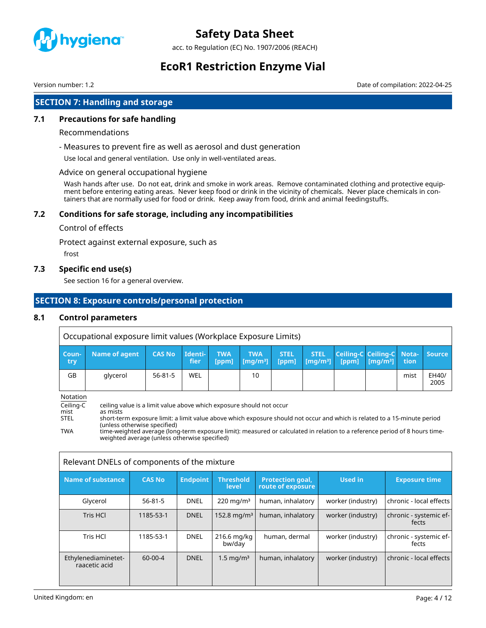

acc. to Regulation (EC) No. 1907/2006 (REACH)

# **EcoR1 Restriction Enzyme Vial**

Version number: 1.2 Date of compilation: 2022-04-25

# **SECTION 7: Handling and storage**

### **7.1 Precautions for safe handling**

#### Recommendations

- Measures to prevent fire as well as aerosol and dust generation

Use local and general ventilation. Use only in well-ventilated areas.

#### Advice on general occupational hygiene

Wash hands after use. Do not eat, drink and smoke in work areas. Remove contaminated clothing and protective equipment before entering eating areas. Never keep food or drink in the vicinity of chemicals. Never place chemicals in containers that are normally used for food or drink. Keep away from food, drink and animal feedingstuffs.

### **7.2 Conditions for safe storage, including any incompatibilities**

#### Control of effects

Protect against external exposure, such as

frost

### **7.3 Specific end use(s)**

See section 16 for a general overview.

# **SECTION 8: Exposure controls/personal protection**

#### **8.1 Control parameters**

| Occupational exposure limit values (Workplace Exposure Limits) |               |               |                 |                     |                                                                                                                                                                                                                                                                      |             |             |                           |      |               |
|----------------------------------------------------------------|---------------|---------------|-----------------|---------------------|----------------------------------------------------------------------------------------------------------------------------------------------------------------------------------------------------------------------------------------------------------------------|-------------|-------------|---------------------------|------|---------------|
| Coun-<br>try                                                   | Name of agent | <b>CAS No</b> | Identi-<br>fier | <b>TWA</b><br>[ppm] | <b>TWA</b><br>$\lceil \lceil \lfloor \frac{m}{3} \rfloor \rceil$ $\lceil \frac{m}{3} \rceil$ $\lceil \frac{m}{3} \rceil$ $\lceil \frac{m}{3} \rceil$ $\lceil \frac{m}{3} \rceil$ $\lceil \frac{m}{3} \rceil$ $\lceil \frac{m}{3} \rceil$ $\lceil \frac{m}{3} \rceil$ | <b>STEL</b> | <b>STEL</b> | Ceiling-C Ceiling-C Nota- |      | <b>Source</b> |
| GB                                                             | glycerol      | 56-81-5       | WEL             |                     | 10                                                                                                                                                                                                                                                                   |             |             |                           | mist | EH40/<br>2005 |

Notation<br>Ceiling-C Ceiling-C ceiling value is a limit value above which exposure should not occur mist as mists<br>STEL short-ter short-term exposure limit: a limit value above which exposure should not occur and which is related to a 15-minute period (unless otherwise specified) TWA time-weighted average (long-term exposure limit): measured or calculated in relation to a reference period of 8 hours timeweighted average (unless otherwise specified)

#### Relevant DNELs of components of the mixture

| <b>Name of substance</b>             | <b>CAS No</b> | <b>Endpoint</b> | <b>Threshold</b><br>level | <b>Protection goal,</b><br>route of exposure | <b>Used in</b>    | <b>Exposure time</b>            |
|--------------------------------------|---------------|-----------------|---------------------------|----------------------------------------------|-------------------|---------------------------------|
| Glycerol                             | $56 - 81 - 5$ | <b>DNEL</b>     | $220 \,\mathrm{mg/m^3}$   | human, inhalatory                            | worker (industry) | chronic - local effects         |
| <b>Tris HCI</b>                      | 1185-53-1     | <b>DNEL</b>     | 152.8 mg/m <sup>3</sup>   | human, inhalatory                            | worker (industry) | chronic - systemic ef-<br>fects |
| Tris HCl                             | 1185-53-1     | <b>DNEL</b>     | 216.6 mg/kg<br>bw/day     | human, dermal                                | worker (industry) | chronic - systemic ef-<br>fects |
| Ethylenediaminetet-<br>raacetic acid | $60-00-4$     | <b>DNEL</b>     | $1.5 \,\mathrm{mg/m^3}$   | human, inhalatory                            | worker (industry) | chronic - local effects         |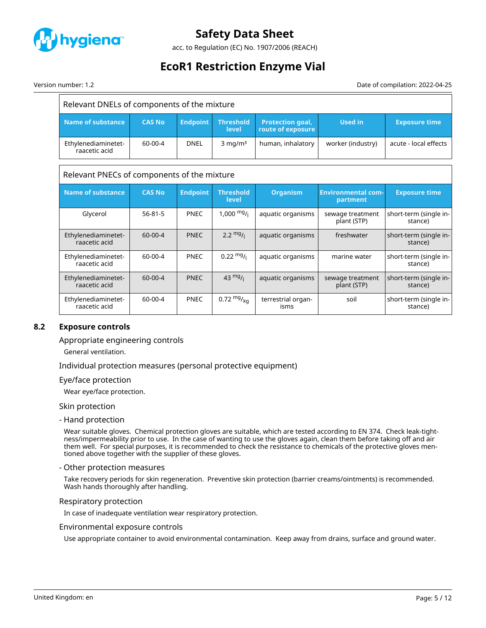

acc. to Regulation (EC) No. 1907/2006 (REACH)

# **EcoR1 Restriction Enzyme Vial**

Version number: 1.2 Date of compilation: 2022-04-25

| Relevant DNELs of components of the mixture |               |                 |                           |                                              |                   |                       |
|---------------------------------------------|---------------|-----------------|---------------------------|----------------------------------------------|-------------------|-----------------------|
| Name of substance                           | <b>CAS No</b> | <b>Endpoint</b> | <b>Threshold</b><br>level | <b>Protection goal,</b><br>route of exposure | Used in           | <b>Exposure time</b>  |
| Ethylenediaminetet-<br>raacetic acid        | 60-00-4       | <b>DNEL</b>     | $3 \text{ mg/m}^3$        | human, inhalatory                            | worker (industry) | acute - local effects |

#### Relevant PNECs of components of the mixture

| Name of substance                    | <b>CAS No</b> | <b>Endpoint</b> | <b>Threshold</b><br>level | <b>Organism</b>            | <b>Environmental com-</b><br>partment | <b>Exposure time</b>              |
|--------------------------------------|---------------|-----------------|---------------------------|----------------------------|---------------------------------------|-----------------------------------|
| Glycerol                             | $56 - 81 - 5$ | <b>PNEC</b>     | $1,000 \frac{mg}{l}$      | aquatic organisms          | sewage treatment<br>plant (STP)       | short-term (single in-<br>stance) |
| Ethylenediaminetet-<br>raacetic acid | $60 - 00 - 4$ | <b>PNEC</b>     | $2.2 \frac{mg}{l}$        | aquatic organisms          | freshwater                            | short-term (single in-<br>stance) |
| Ethylenediaminetet-<br>raacetic acid | 60-00-4       | <b>PNEC</b>     | $0.22 \text{ mg}$ /       | aquatic organisms          | marine water                          | short-term (single in-<br>stance) |
| Ethylenediaminetet-<br>raacetic acid | $60 - 00 - 4$ | <b>PNEC</b>     | $43 \frac{mg}{l}$         | aquatic organisms          | sewage treatment<br>plant (STP)       | short-term (single in-<br>stance) |
| Ethylenediaminetet-<br>raacetic acid | $60-00-4$     | <b>PNEC</b>     | 0.72 $mg/_{ka}$           | terrestrial organ-<br>isms | soil                                  | short-term (single in-<br>stance) |

### **8.2 Exposure controls**

### Appropriate engineering controls

General ventilation.

Individual protection measures (personal protective equipment)

#### Eye/face protection

Wear eye/face protection.

#### Skin protection

- Hand protection

Wear suitable gloves. Chemical protection gloves are suitable, which are tested according to EN 374. Check leak-tightness/impermeability prior to use. In the case of wanting to use the gloves again, clean them before taking off and air them well. For special purposes, it is recommended to check the resistance to chemicals of the protective gloves mentioned above together with the supplier of these gloves.

#### - Other protection measures

Take recovery periods for skin regeneration. Preventive skin protection (barrier creams/ointments) is recommended. Wash hands thoroughly after handling.

#### Respiratory protection

In case of inadequate ventilation wear respiratory protection.

#### Environmental exposure controls

Use appropriate container to avoid environmental contamination. Keep away from drains, surface and ground water.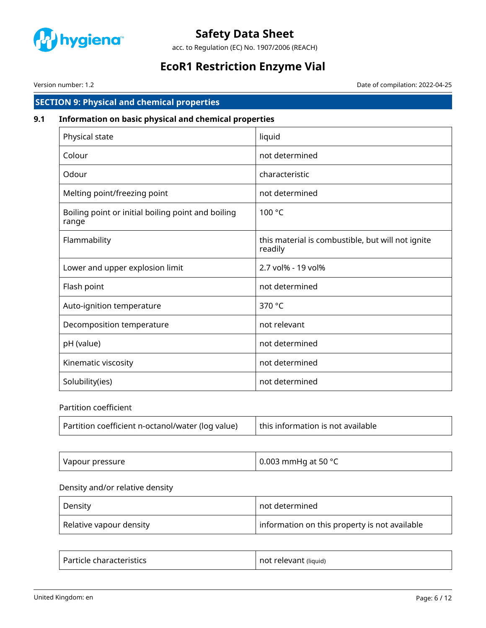

acc. to Regulation (EC) No. 1907/2006 (REACH)

# **EcoR1 Restriction Enzyme Vial**

Version number: 1.2 Date of compilation: 2022-04-25

# **SECTION 9: Physical and chemical properties**

# **9.1 Information on basic physical and chemical properties**

| Physical state                                              | liquid                                                       |
|-------------------------------------------------------------|--------------------------------------------------------------|
| Colour                                                      | not determined                                               |
| Odour                                                       | characteristic                                               |
| Melting point/freezing point                                | not determined                                               |
| Boiling point or initial boiling point and boiling<br>range | 100 °C                                                       |
| Flammability                                                | this material is combustible, but will not ignite<br>readily |
| Lower and upper explosion limit                             | 2.7 vol% - 19 vol%                                           |
| Flash point                                                 | not determined                                               |
| Auto-ignition temperature                                   | 370 °C                                                       |
| Decomposition temperature                                   | not relevant                                                 |
| pH (value)                                                  | not determined                                               |
| Kinematic viscosity                                         | not determined                                               |
| Solubility(ies)                                             | not determined                                               |

# Partition coefficient

| Partition coefficient n-octanol/water (log value) | this information is not available |
|---------------------------------------------------|-----------------------------------|
|---------------------------------------------------|-----------------------------------|

| Vapour pressure | 0.003 mmHg at 50 $^{\circ}$ C |
|-----------------|-------------------------------|
|-----------------|-------------------------------|

### Density and/or relative density

| Density                 | not determined                                |
|-------------------------|-----------------------------------------------|
| Relative vapour density | information on this property is not available |

| Particle characteristics | not relevant (liquid) |
|--------------------------|-----------------------|
|--------------------------|-----------------------|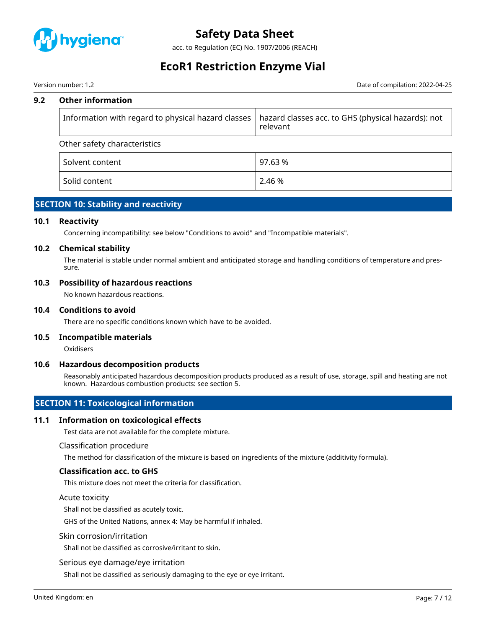

acc. to Regulation (EC) No. 1907/2006 (REACH)

# **EcoR1 Restriction Enzyme Vial**

Version number: 1.2 Date of compilation: 2022-04-25

# **9.2 Other information** Information with regard to physical hazard classes  $\vert$  hazard classes acc. to GHS (physical hazards): not relevant Other safety characteristics Solvent content and the state of  $\vert$  97.63 % Solid content 2.46 %

# **SECTION 10: Stability and reactivity**

### **10.1 Reactivity**

Concerning incompatibility: see below "Conditions to avoid" and "Incompatible materials".

### **10.2 Chemical stability**

The material is stable under normal ambient and anticipated storage and handling conditions of temperature and pressure.

### **10.3 Possibility of hazardous reactions**

No known hazardous reactions.

#### **10.4 Conditions to avoid**

There are no specific conditions known which have to be avoided.

### **10.5 Incompatible materials**

**Oxidisers** 

### **10.6 Hazardous decomposition products**

Reasonably anticipated hazardous decomposition products produced as a result of use, storage, spill and heating are not known. Hazardous combustion products: see section 5.

# **SECTION 11: Toxicological information**

### **11.1 Information on toxicological effects**

Test data are not available for the complete mixture.

#### Classification procedure

The method for classification of the mixture is based on ingredients of the mixture (additivity formula).

### **Classification acc. to GHS**

This mixture does not meet the criteria for classification.

#### Acute toxicity

Shall not be classified as acutely toxic.

GHS of the United Nations, annex 4: May be harmful if inhaled.

#### Skin corrosion/irritation

Shall not be classified as corrosive/irritant to skin.

#### Serious eye damage/eye irritation

Shall not be classified as seriously damaging to the eye or eye irritant.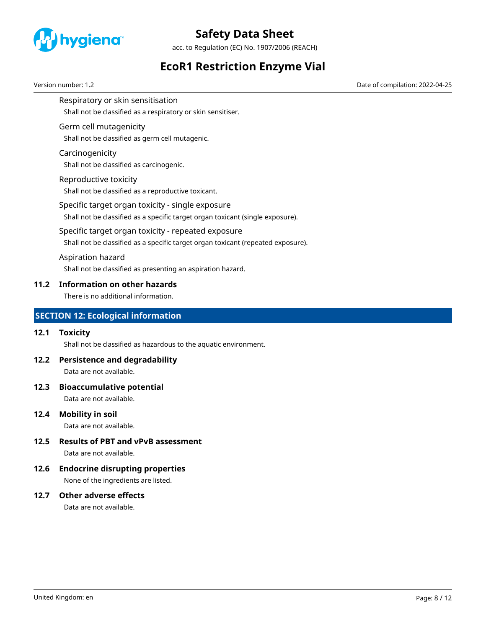

acc. to Regulation (EC) No. 1907/2006 (REACH)

# **EcoR1 Restriction Enzyme Vial**

Version number: 1.2 Date of compilation: 2022-04-25

Respiratory or skin sensitisation Shall not be classified as a respiratory or skin sensitiser.

### Germ cell mutagenicity

Shall not be classified as germ cell mutagenic.

### Carcinogenicity

Shall not be classified as carcinogenic.

### Reproductive toxicity

Shall not be classified as a reproductive toxicant.

# Specific target organ toxicity - single exposure

Shall not be classified as a specific target organ toxicant (single exposure).

### Specific target organ toxicity - repeated exposure

Shall not be classified as a specific target organ toxicant (repeated exposure).

### Aspiration hazard

Shall not be classified as presenting an aspiration hazard.

### **11.2 Information on other hazards**

There is no additional information.

# **SECTION 12: Ecological information**

### **12.1 Toxicity**

Shall not be classified as hazardous to the aquatic environment.

# **12.2 Persistence and degradability**

Data are not available.

### **12.3 Bioaccumulative potential**

Data are not available.

### **12.4 Mobility in soil**

Data are not available.

# **12.5 Results of PBT and vPvB assessment**

Data are not available.

# **12.6 Endocrine disrupting properties**

None of the ingredients are listed.

### **12.7 Other adverse effects**

Data are not available.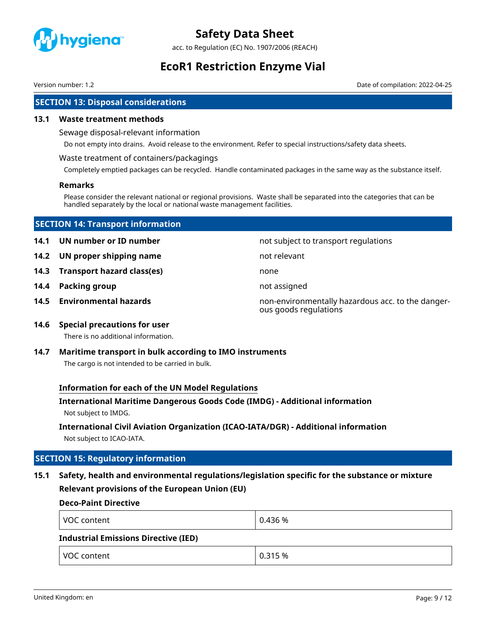

acc. to Regulation (EC) No. 1907/2006 (REACH)

# **EcoR1 Restriction Enzyme Vial**

Version number: 1.2 Date of compilation: 2022-04-25

# **SECTION 13: Disposal considerations**

#### **13.1 Waste treatment methods**

Sewage disposal-relevant information

Do not empty into drains. Avoid release to the environment. Refer to special instructions/safety data sheets.

#### Waste treatment of containers/packagings

Completely emptied packages can be recycled. Handle contaminated packages in the same way as the substance itself.

#### **Remarks**

Please consider the relevant national or regional provisions. Waste shall be separated into the categories that can be handled separately by the local or national waste management facilities.

| <b>SECTION 14: Transport information</b> |  |  |  |  |
|------------------------------------------|--|--|--|--|
|------------------------------------------|--|--|--|--|

- 
- **14.2 UN proper shipping name** not relevant
- **14.3 Transport hazard class(es)** none
- **14.4 Packing group not assigned not assigned**
- 

**14.1 UN number or ID number not subject to transport regulations** 

- -
- **14.5 Environmental hazards non-environmentally hazardous acc. to the danger**ous goods regulations

### **14.6 Special precautions for user**

There is no additional information.

**14.7 Maritime transport in bulk according to IMO instruments** The cargo is not intended to be carried in bulk.

### **Information for each of the UN Model Regulations**

### **International Maritime Dangerous Goods Code (IMDG) - Additional information** Not subject to IMDG.

# **International Civil Aviation Organization (ICAO-IATA/DGR) - Additional information**

Not subject to ICAO-IATA.

# **SECTION 15: Regulatory information**

# **15.1 Safety, health and environmental regulations/legislation specific for the substance or mixture Relevant provisions of the European Union (EU)**

# **Deco-Paint Directive**

| VOC content                                 | 0.436 %         |  |
|---------------------------------------------|-----------------|--|
| <b>Industrial Emissions Directive (IED)</b> |                 |  |
| l VOC content                               | $\vert$ 0.315 % |  |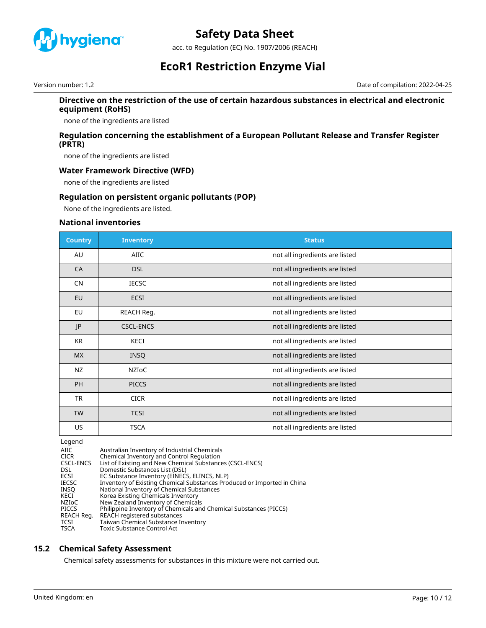

acc. to Regulation (EC) No. 1907/2006 (REACH)

# **EcoR1 Restriction Enzyme Vial**

Version number: 1.2 Date of compilation: 2022-04-25

### **Directive on the restriction of the use of certain hazardous substances in electrical and electronic equipment (RoHS)**

none of the ingredients are listed

### **Regulation concerning the establishment of a European Pollutant Release and Transfer Register (PRTR)**

none of the ingredients are listed

### **Water Framework Directive (WFD)**

none of the ingredients are listed

### **Regulation on persistent organic pollutants (POP)**

None of the ingredients are listed.

#### **National inventories**

| <b>Country</b> | <b>Inventory</b> | <b>Status</b>                  |
|----------------|------------------|--------------------------------|
| AU             | AIIC             | not all ingredients are listed |
| CA             | <b>DSL</b>       | not all ingredients are listed |
| <b>CN</b>      | <b>IECSC</b>     | not all ingredients are listed |
| EU             | <b>ECSI</b>      | not all ingredients are listed |
| EU             | REACH Reg.       | not all ingredients are listed |
| JP             | <b>CSCL-ENCS</b> | not all ingredients are listed |
| <b>KR</b>      | KECI             | not all ingredients are listed |
| <b>MX</b>      | <b>INSQ</b>      | not all ingredients are listed |
| NZ             | NZIOC            | not all ingredients are listed |
| <b>PH</b>      | <b>PICCS</b>     | not all ingredients are listed |
| <b>TR</b>      | <b>CICR</b>      | not all ingredients are listed |
| <b>TW</b>      | <b>TCSI</b>      | not all ingredients are listed |
| US             | <b>TSCA</b>      | not all ingredients are listed |

Legend

| AIIC       | Australian Inventory of Industrial Chemicals                            |
|------------|-------------------------------------------------------------------------|
| CICR       | Chemical Inventory and Control Regulation                               |
| CSCL-ENCS  | List of Existing and New Chemical Substances (CSCL-ENCS)                |
| DSL        | Domestic Substances List (DSL)                                          |
| ECSI       | EC Substance Inventory (EINECS, ELINCS, NLP)                            |
| IECSC      | Inventory of Existing Chemical Substances Produced or Imported in China |
| INSO       | National Inventory of Chemical Substances                               |
| KECI       | Korea Existing Chemicals Inventory                                      |
| NZIoC      | New Zealand Inventory of Chemicals                                      |
| PICCS      | Philippine Inventory of Chemicals and Chemical Substances (PICCS)       |
| REACH Reg. | REACH registered substances                                             |
| TCSI       | Taiwan Chemical Substance Inventory                                     |
| TSCA       | Toxic Substance Control Act                                             |
|            |                                                                         |

### **15.2 Chemical Safety Assessment**

Chemical safety assessments for substances in this mixture were not carried out.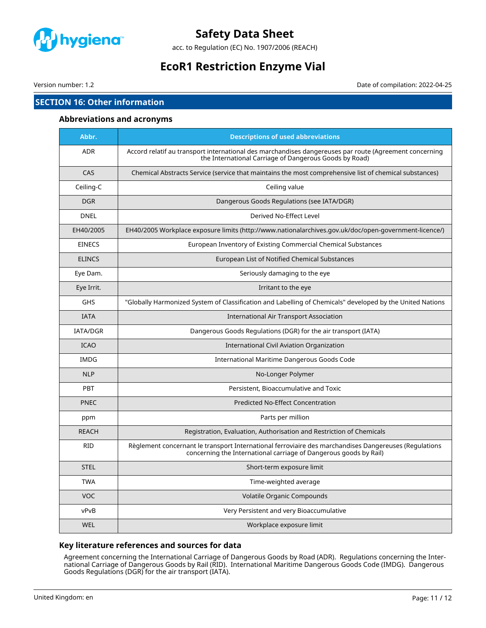

acc. to Regulation (EC) No. 1907/2006 (REACH)

# **EcoR1 Restriction Enzyme Vial**

Version number: 1.2 Date of compilation: 2022-04-25

# **SECTION 16: Other information**

#### **Abbreviations and acronyms**

| Abbr.         | <b>Descriptions of used abbreviations</b>                                                                                                                                  |  |
|---------------|----------------------------------------------------------------------------------------------------------------------------------------------------------------------------|--|
| <b>ADR</b>    | Accord relatif au transport international des marchandises dangereuses par route (Agreement concerning<br>the International Carriage of Dangerous Goods by Road)           |  |
| CAS           | Chemical Abstracts Service (service that maintains the most comprehensive list of chemical substances)                                                                     |  |
| Ceiling-C     | Ceiling value                                                                                                                                                              |  |
| <b>DGR</b>    | Dangerous Goods Regulations (see IATA/DGR)                                                                                                                                 |  |
| <b>DNEL</b>   | Derived No-Effect Level                                                                                                                                                    |  |
| EH40/2005     | EH40/2005 Workplace exposure limits (http://www.nationalarchives.gov.uk/doc/open-government-licence/)                                                                      |  |
| <b>EINECS</b> | European Inventory of Existing Commercial Chemical Substances                                                                                                              |  |
| <b>ELINCS</b> | European List of Notified Chemical Substances                                                                                                                              |  |
| Eye Dam.      | Seriously damaging to the eye                                                                                                                                              |  |
| Eye Irrit.    | Irritant to the eye                                                                                                                                                        |  |
| <b>GHS</b>    | "Globally Harmonized System of Classification and Labelling of Chemicals" developed by the United Nations                                                                  |  |
| <b>IATA</b>   | International Air Transport Association                                                                                                                                    |  |
| IATA/DGR      | Dangerous Goods Regulations (DGR) for the air transport (IATA)                                                                                                             |  |
| <b>ICAO</b>   | International Civil Aviation Organization                                                                                                                                  |  |
| <b>IMDG</b>   | International Maritime Dangerous Goods Code                                                                                                                                |  |
| <b>NLP</b>    | No-Longer Polymer                                                                                                                                                          |  |
| PBT           | Persistent, Bioaccumulative and Toxic                                                                                                                                      |  |
| <b>PNEC</b>   | <b>Predicted No-Effect Concentration</b>                                                                                                                                   |  |
| ppm           | Parts per million                                                                                                                                                          |  |
| <b>REACH</b>  | Registration, Evaluation, Authorisation and Restriction of Chemicals                                                                                                       |  |
| <b>RID</b>    | Règlement concernant le transport International ferroviaire des marchandises Dangereuses (Regulations<br>concerning the International carriage of Dangerous goods by Rail) |  |
| <b>STEL</b>   | Short-term exposure limit                                                                                                                                                  |  |
| <b>TWA</b>    | Time-weighted average                                                                                                                                                      |  |
| <b>VOC</b>    | Volatile Organic Compounds                                                                                                                                                 |  |
| vPvB          | Very Persistent and very Bioaccumulative                                                                                                                                   |  |
| <b>WEL</b>    | Workplace exposure limit                                                                                                                                                   |  |

### **Key literature references and sources for data**

Agreement concerning the International Carriage of Dangerous Goods by Road (ADR). Regulations concerning the International Carriage of Dangerous Goods by Rail (RID). International Maritime Dangerous Goods Code (IMDG). Dangerous Goods Regulations (DGR) for the air transport (IATA).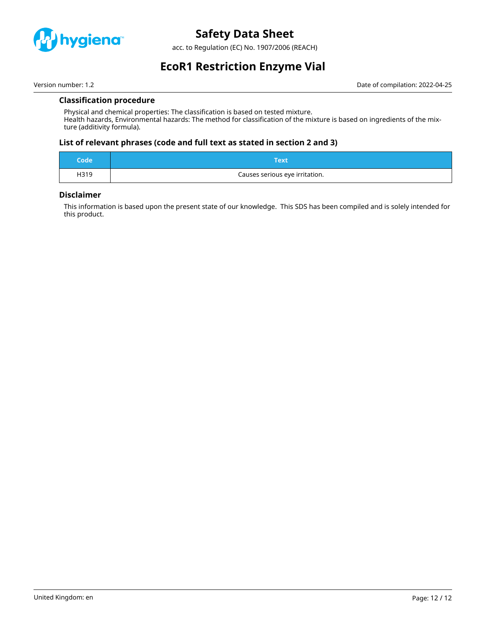

acc. to Regulation (EC) No. 1907/2006 (REACH)

# **EcoR1 Restriction Enzyme Vial**

Version number: 1.2 Date of compilation: 2022-04-25

### **Classification procedure**

Physical and chemical properties: The classification is based on tested mixture. Health hazards, Environmental hazards: The method for classification of the mixture is based on ingredients of the mixture (additivity formula).

### **List of relevant phrases (code and full text as stated in section 2 and 3)**

| Code | Text                           |
|------|--------------------------------|
| H319 | Causes serious eye irritation. |

#### **Disclaimer**

This information is based upon the present state of our knowledge. This SDS has been compiled and is solely intended for this product.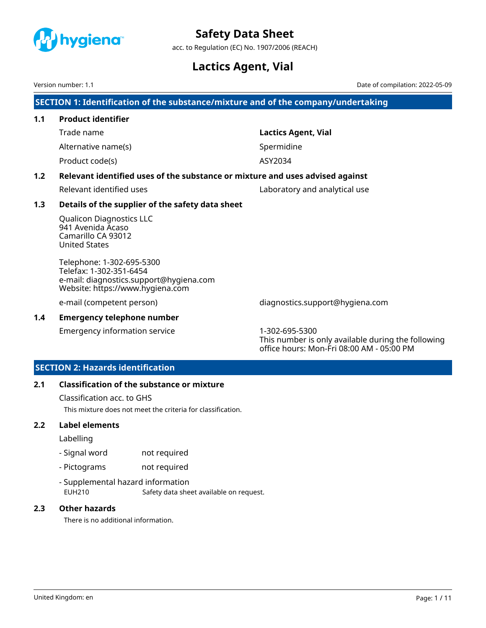<span id="page-13-0"></span>

acc. to Regulation (EC) No. 1907/2006 (REACH)

# **Lactics Agent, Vial**

Version number: 1.1 Date of compilation: 2022-05-09

**SECTION 1: Identification of the substance/mixture and of the company/undertaking**

| 1.1 | <b>Product identifier</b> |                            |
|-----|---------------------------|----------------------------|
|     | Trade name                | <b>Lactics Agent, Vial</b> |
|     | Alternative name(s)       | Spermidine                 |
|     | Product code(s)           | ASY2034                    |

# **1.2 Relevant identified uses of the substance or mixture and uses advised against**

Relevant identified uses Laboratory and analytical use

### **1.3 Details of the supplier of the safety data sheet**

Qualicon Diagnostics LLC 941 Avenida Acaso Camarillo CA 93012 United States

Telephone: 1-302-695-5300 Telefax: 1-302-351-6454 e-mail: diagnostics.support@hygiena.com Website: https://www.hygiena.com

e-mail (competent person) diagnostics.support@hygiena.com

# **1.4 Emergency telephone number**

Emergency information service 1-302-695-5300

This number is only available during the following office hours: Mon-Fri 08:00 AM - 05:00 PM

# **SECTION 2: Hazards identification**

# **2.1 Classification of the substance or mixture**

Classification acc. to GHS

This mixture does not meet the criteria for classification.

### **2.2 Label elements**

Labelling

- Signal word not required
- Pictograms not required
- Supplemental hazard information EUH210 Safety data sheet available on request.

# **2.3 Other hazards**

There is no additional information.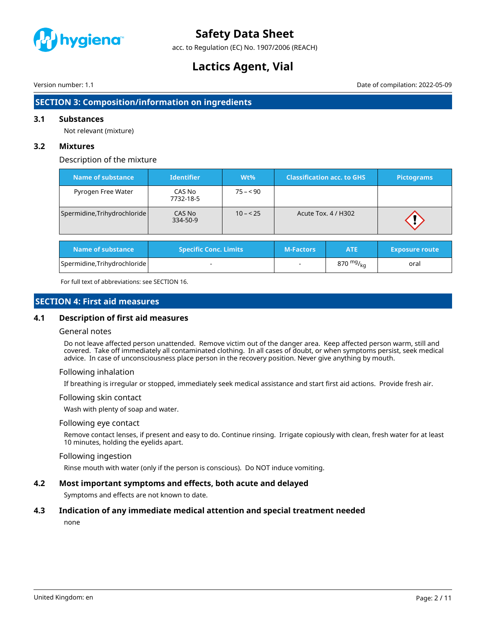

acc. to Regulation (EC) No. 1907/2006 (REACH)

# **Lactics Agent, Vial**

Version number: 1.1 Date of compilation: 2022-05-09

# **SECTION 3: Composition/information on ingredients**

#### **3.1 Substances**

Not relevant (mixture)

#### **3.2 Mixtures**

#### Description of the mixture

| <b>Name of substance</b>     | <b>Identifier</b>            | $Wt\%$    |                  | <b>Classification acc. to GHS</b> | <b>Pictograms</b>     |
|------------------------------|------------------------------|-----------|------------------|-----------------------------------|-----------------------|
| Pyrogen Free Water           | CAS No<br>7732-18-5          | $75 - 90$ |                  |                                   |                       |
| Spermidine, Trihydrochloride | CAS No<br>334-50-9           | $10 - 25$ |                  | Acute Tox. 4 / H302               |                       |
| <b>Name of substance</b>     | <b>Specific Conc. Limits</b> |           | <b>M-Factors</b> | <b>ATE</b>                        | <b>Exposure route</b> |
| Spermidine, Trihydrochloride |                              |           |                  | 870 $mg/$ <sub>kc</sub>           | oral                  |

For full text of abbreviations: see SECTION 16.

# **SECTION 4: First aid measures**

#### **4.1 Description of first aid measures**

#### General notes

Do not leave affected person unattended. Remove victim out of the danger area. Keep affected person warm, still and covered. Take off immediately all contaminated clothing. In all cases of doubt, or when symptoms persist, seek medical advice. In case of unconsciousness place person in the recovery position. Never give anything by mouth.

#### Following inhalation

If breathing is irregular or stopped, immediately seek medical assistance and start first aid actions. Provide fresh air.

#### Following skin contact

Wash with plenty of soap and water.

#### Following eye contact

Remove contact lenses, if present and easy to do. Continue rinsing. Irrigate copiously with clean, fresh water for at least 10 minutes, holding the eyelids apart.

#### Following ingestion

Rinse mouth with water (only if the person is conscious). Do NOT induce vomiting.

#### **4.2 Most important symptoms and effects, both acute and delayed**

Symptoms and effects are not known to date.

#### **4.3 Indication of any immediate medical attention and special treatment needed**

none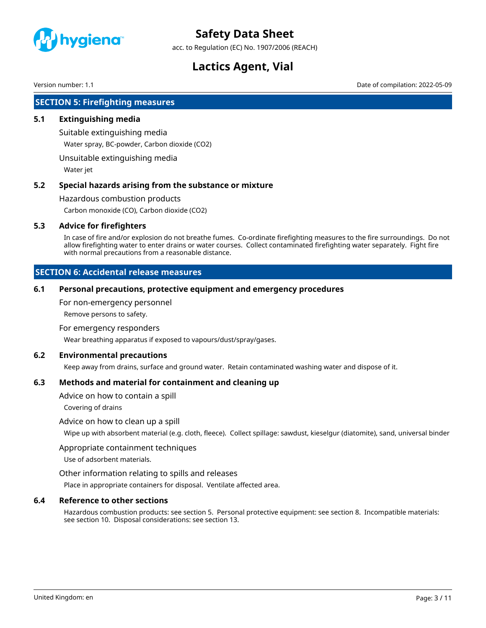

acc. to Regulation (EC) No. 1907/2006 (REACH)

# **Lactics Agent, Vial**

Version number: 1.1 Date of compilation: 2022-05-09

# **SECTION 5: Firefighting measures**

### **5.1 Extinguishing media**

Suitable extinguishing media Water spray, BC-powder, Carbon dioxide (CO2)

Unsuitable extinguishing media

Water jet

### **5.2 Special hazards arising from the substance or mixture**

Hazardous combustion products

Carbon monoxide (CO), Carbon dioxide (CO2)

### **5.3 Advice for firefighters**

In case of fire and/or explosion do not breathe fumes. Co-ordinate firefighting measures to the fire surroundings. Do not allow firefighting water to enter drains or water courses. Collect contaminated firefighting water separately. Fight fire with normal precautions from a reasonable distance.

# **SECTION 6: Accidental release measures**

#### **6.1 Personal precautions, protective equipment and emergency procedures**

For non-emergency personnel

Remove persons to safety.

#### For emergency responders

Wear breathing apparatus if exposed to vapours/dust/spray/gases.

### **6.2 Environmental precautions**

Keep away from drains, surface and ground water. Retain contaminated washing water and dispose of it.

### **6.3 Methods and material for containment and cleaning up**

Advice on how to contain a spill

Covering of drains

### Advice on how to clean up a spill

Wipe up with absorbent material (e.g. cloth, fleece). Collect spillage: sawdust, kieselgur (diatomite), sand, universal binder

### Appropriate containment techniques

Use of adsorbent materials.

### Other information relating to spills and releases

Place in appropriate containers for disposal. Ventilate affected area.

### **6.4 Reference to other sections**

Hazardous combustion products: see section 5. Personal protective equipment: see section 8. Incompatible materials: see section 10. Disposal considerations: see section 13.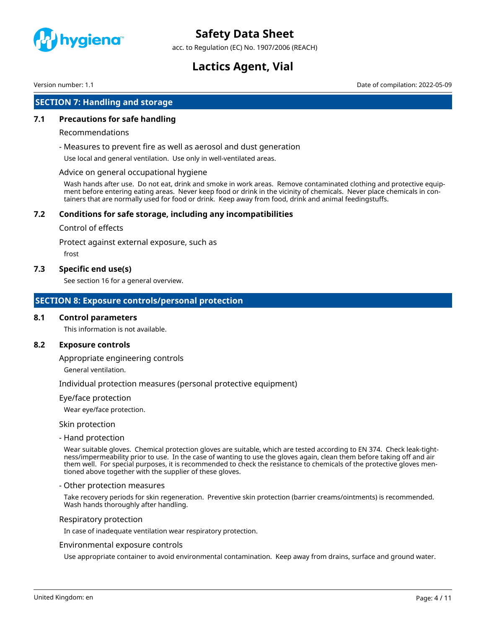

acc. to Regulation (EC) No. 1907/2006 (REACH)

# **Lactics Agent, Vial**

Version number: 1.1 Date of compilation: 2022-05-09

# **SECTION 7: Handling and storage**

#### **7.1 Precautions for safe handling**

#### Recommendations

- Measures to prevent fire as well as aerosol and dust generation

Use local and general ventilation. Use only in well-ventilated areas.

#### Advice on general occupational hygiene

Wash hands after use. Do not eat, drink and smoke in work areas. Remove contaminated clothing and protective equipment before entering eating areas. Never keep food or drink in the vicinity of chemicals. Never place chemicals in containers that are normally used for food or drink. Keep away from food, drink and animal feedingstuffs.

### **7.2 Conditions for safe storage, including any incompatibilities**

#### Control of effects

Protect against external exposure, such as

frost

#### **7.3 Specific end use(s)**

See section 16 for a general overview.

### **SECTION 8: Exposure controls/personal protection**

#### **8.1 Control parameters**

This information is not available.

### **8.2 Exposure controls**

Appropriate engineering controls

General ventilation.

Individual protection measures (personal protective equipment)

#### Eye/face protection

Wear eye/face protection.

Skin protection

- Hand protection

Wear suitable gloves. Chemical protection gloves are suitable, which are tested according to EN 374. Check leak-tightness/impermeability prior to use. In the case of wanting to use the gloves again, clean them before taking off and air them well. For special purposes, it is recommended to check the resistance to chemicals of the protective gloves mentioned above together with the supplier of these gloves.

#### - Other protection measures

Take recovery periods for skin regeneration. Preventive skin protection (barrier creams/ointments) is recommended. Wash hands thoroughly after handling.

#### Respiratory protection

In case of inadequate ventilation wear respiratory protection.

#### Environmental exposure controls

Use appropriate container to avoid environmental contamination. Keep away from drains, surface and ground water.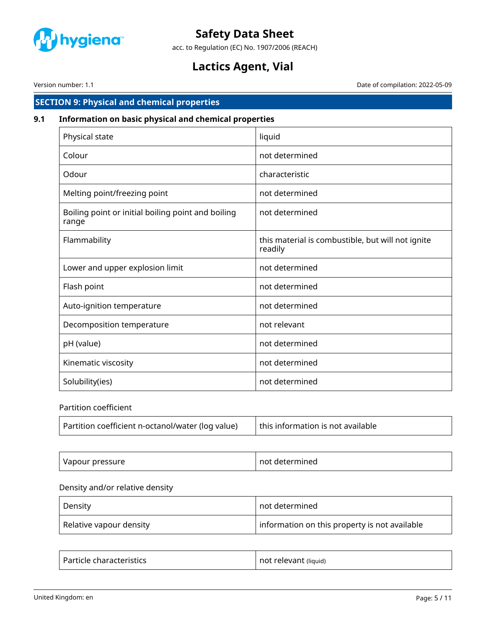

acc. to Regulation (EC) No. 1907/2006 (REACH)

# **Lactics Agent, Vial**

Version number: 1.1 **Date of compilation: 2022-05-09** Date of compilation: 2022-05-09

# **SECTION 9: Physical and chemical properties**

# **9.1 Information on basic physical and chemical properties**

| Physical state                                              | liquid                                                       |
|-------------------------------------------------------------|--------------------------------------------------------------|
| Colour                                                      | not determined                                               |
| Odour                                                       | characteristic                                               |
| Melting point/freezing point                                | not determined                                               |
| Boiling point or initial boiling point and boiling<br>range | not determined                                               |
| Flammability                                                | this material is combustible, but will not ignite<br>readily |
| Lower and upper explosion limit                             | not determined                                               |
| Flash point                                                 | not determined                                               |
| Auto-ignition temperature                                   | not determined                                               |
| Decomposition temperature                                   | not relevant                                                 |
| pH (value)                                                  | not determined                                               |
| Kinematic viscosity                                         | not determined                                               |
| Solubility(ies)                                             | not determined                                               |

# Partition coefficient

| Partition coefficient n-octanol/water (log value) | this information is not available |
|---------------------------------------------------|-----------------------------------|
|---------------------------------------------------|-----------------------------------|

| $\sim$<br>essure,<br>, apour -<br>. זו<br>. . | not<br>THILEG<br>− |
|-----------------------------------------------|--------------------|
|-----------------------------------------------|--------------------|

### Density and/or relative density

| Density                 | not determined                                |
|-------------------------|-----------------------------------------------|
| Relative vapour density | information on this property is not available |

| Particle characteristics | not relevant (liquid) |
|--------------------------|-----------------------|
|--------------------------|-----------------------|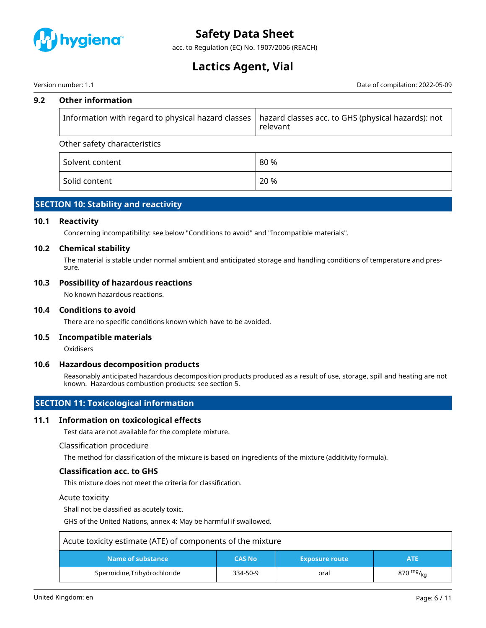

acc. to Regulation (EC) No. 1907/2006 (REACH)

# **Lactics Agent, Vial**

Version number: 1.1 Date of compilation: 2022-05-09

| 9.2 | <b>Other information</b>                           |                                                                |  |
|-----|----------------------------------------------------|----------------------------------------------------------------|--|
|     | Information with regard to physical hazard classes | hazard classes acc. to GHS (physical hazards): not<br>relevant |  |
|     | Other safety characteristics                       |                                                                |  |
|     | Solvent content                                    | 80 %                                                           |  |
|     | Solid content                                      | 20 %                                                           |  |

# **SECTION 10: Stability and reactivity**

### **10.1 Reactivity**

Concerning incompatibility: see below "Conditions to avoid" and "Incompatible materials".

### **10.2 Chemical stability**

The material is stable under normal ambient and anticipated storage and handling conditions of temperature and pressure.

### **10.3 Possibility of hazardous reactions**

No known hazardous reactions.

#### **10.4 Conditions to avoid**

There are no specific conditions known which have to be avoided.

### **10.5 Incompatible materials**

**Oxidisers** 

#### **10.6 Hazardous decomposition products**

Reasonably anticipated hazardous decomposition products produced as a result of use, storage, spill and heating are not known. Hazardous combustion products: see section 5.

# **SECTION 11: Toxicological information**

#### **11.1 Information on toxicological effects**

Test data are not available for the complete mixture.

#### Classification procedure

The method for classification of the mixture is based on ingredients of the mixture (additivity formula).

### **Classification acc. to GHS**

This mixture does not meet the criteria for classification.

#### Acute toxicity

Shall not be classified as acutely toxic.

GHS of the United Nations, annex 4: May be harmful if swallowed.

| Acute toxicity estimate (ATE) of components of the mixture |               |                       |                |
|------------------------------------------------------------|---------------|-----------------------|----------------|
| Name of substance                                          | <b>CAS No</b> | <b>Exposure route</b> | <b>ATE</b>     |
| Spermidine, Trihydrochloride                               | 334-50-9      | oral                  | 870 $mg/_{kq}$ |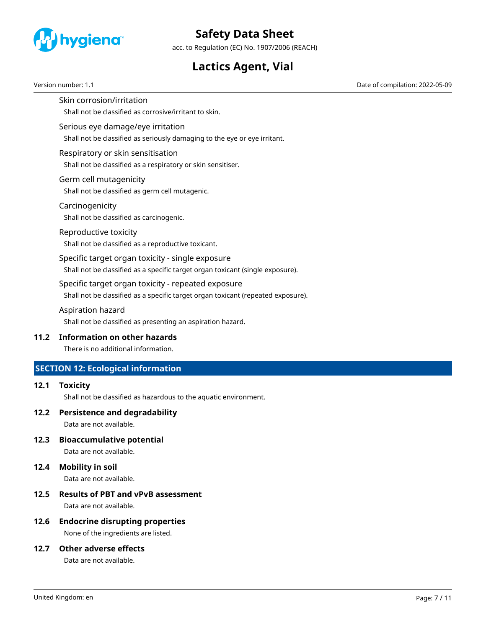

acc. to Regulation (EC) No. 1907/2006 (REACH)

# **Lactics Agent, Vial**

Version number: 1.1 Date of compilation: 2022-05-09

Skin corrosion/irritation

Shall not be classified as corrosive/irritant to skin.

Serious eye damage/eye irritation

Shall not be classified as seriously damaging to the eye or eye irritant.

Respiratory or skin sensitisation

Shall not be classified as a respiratory or skin sensitiser.

### Germ cell mutagenicity

Shall not be classified as germ cell mutagenic.

### Carcinogenicity

Shall not be classified as carcinogenic.

### Reproductive toxicity

Shall not be classified as a reproductive toxicant.

### Specific target organ toxicity - single exposure

Shall not be classified as a specific target organ toxicant (single exposure).

### Specific target organ toxicity - repeated exposure

Shall not be classified as a specific target organ toxicant (repeated exposure).

### Aspiration hazard

Shall not be classified as presenting an aspiration hazard.

# **11.2 Information on other hazards**

There is no additional information.

# **SECTION 12: Ecological information**

### **12.1 Toxicity**

Shall not be classified as hazardous to the aquatic environment.

# **12.2 Persistence and degradability**

Data are not available.

**12.3 Bioaccumulative potential**

Data are not available.

# **12.4 Mobility in soil**

Data are not available.

# **12.5 Results of PBT and vPvB assessment**

Data are not available.

# **12.6 Endocrine disrupting properties**

None of the ingredients are listed.

### **12.7 Other adverse effects**

Data are not available.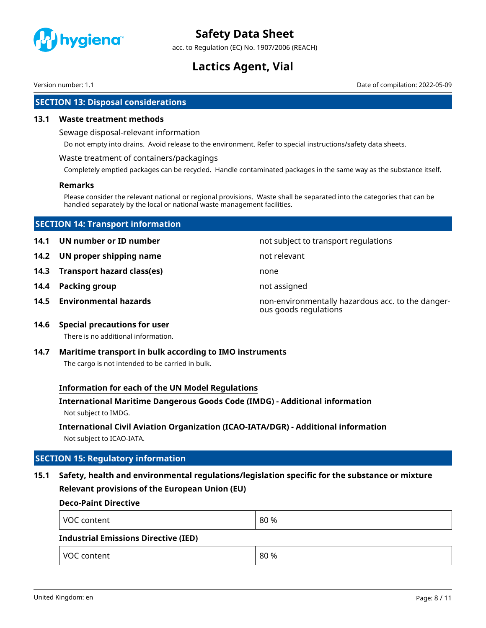

acc. to Regulation (EC) No. 1907/2006 (REACH)

# **Lactics Agent, Vial**

Version number: 1.1 Date of compilation: 2022-05-09

# **SECTION 13: Disposal considerations**

#### **13.1 Waste treatment methods**

Sewage disposal-relevant information

Do not empty into drains. Avoid release to the environment. Refer to special instructions/safety data sheets.

#### Waste treatment of containers/packagings

Completely emptied packages can be recycled. Handle contaminated packages in the same way as the substance itself.

#### **Remarks**

Please consider the relevant national or regional provisions. Waste shall be separated into the categories that can be handled separately by the local or national waste management facilities.

# **SECTION 14: Transport information**

- **14.2 UN proper shipping name** not relevant
- **14.3 Transport hazard class(es)** none
- **14.4 Packing group not assigned**
- 

**14.1 UN number or ID number not subject to transport regulations** 

- -

**14.5 Environmental hazards non-environmentally hazardous acc. to the danger**ous goods regulations

### **14.6 Special precautions for user**

There is no additional information.

**14.7 Maritime transport in bulk according to IMO instruments**

The cargo is not intended to be carried in bulk.

### **Information for each of the UN Model Regulations**

# **International Maritime Dangerous Goods Code (IMDG) - Additional information** Not subject to IMDG.

# **International Civil Aviation Organization (ICAO-IATA/DGR) - Additional information**

Not subject to ICAO-IATA.

# **SECTION 15: Regulatory information**

# **15.1 Safety, health and environmental regulations/legislation specific for the substance or mixture Relevant provisions of the European Union (EU)**

# **Deco-Paint Directive**

| VOC content                                 | 80 % |  |
|---------------------------------------------|------|--|
| <b>Industrial Emissions Directive (IED)</b> |      |  |
| VOC content                                 | 80 % |  |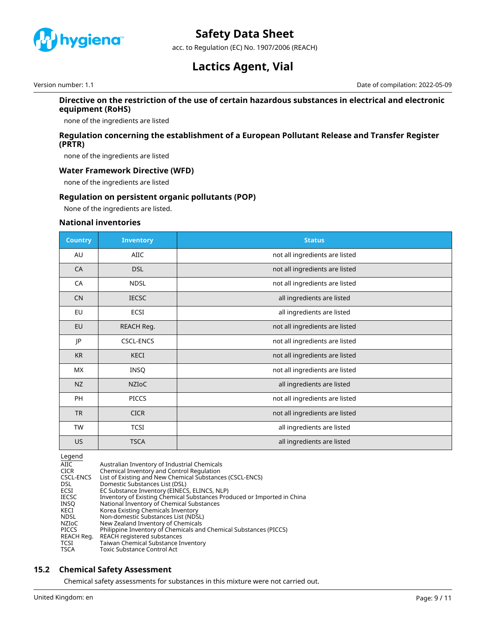

acc. to Regulation (EC) No. 1907/2006 (REACH)

# **Lactics Agent, Vial**

Version number: 1.1 Date of compilation: 2022-05-09

### **Directive on the restriction of the use of certain hazardous substances in electrical and electronic equipment (RoHS)**

none of the ingredients are listed

### **Regulation concerning the establishment of a European Pollutant Release and Transfer Register (PRTR)**

none of the ingredients are listed

### **Water Framework Directive (WFD)**

none of the ingredients are listed

### **Regulation on persistent organic pollutants (POP)**

None of the ingredients are listed.

#### **National inventories**

| <b>Country</b> | <b>Inventory</b> | <b>Status</b>                  |
|----------------|------------------|--------------------------------|
| AU             | <b>AIIC</b>      | not all ingredients are listed |
| CA             | <b>DSL</b>       | not all ingredients are listed |
| CA             | <b>NDSL</b>      | not all ingredients are listed |
| <b>CN</b>      | <b>IECSC</b>     | all ingredients are listed     |
| EU             | <b>ECSI</b>      | all ingredients are listed     |
| EU             | REACH Reg.       | not all ingredients are listed |
| JP             | <b>CSCL-ENCS</b> | not all ingredients are listed |
| <b>KR</b>      | <b>KECI</b>      | not all ingredients are listed |
| <b>MX</b>      | <b>INSQ</b>      | not all ingredients are listed |
| NZ             | <b>NZIOC</b>     | all ingredients are listed     |
| PH             | <b>PICCS</b>     | not all ingredients are listed |
| <b>TR</b>      | <b>CICR</b>      | not all ingredients are listed |
| TW             | <b>TCSI</b>      | all ingredients are listed     |
| <b>US</b>      | <b>TSCA</b>      | all ingredients are listed     |

Legend

| Australian Inventory of Industrial Chemicals                            |
|-------------------------------------------------------------------------|
| Chemical Inventory and Control Regulation                               |
| List of Existing and New Chemical Substances (CSCL-ENCS)                |
| Domestic Substances List (DSL)                                          |
| EC Substance Inventory (EINECS, ELINCS, NLP)                            |
| Inventory of Existing Chemical Substances Produced or Imported in China |
| National Inventory of Chemical Substances                               |
| Korea Existing Chemicals Inventory                                      |
| Non-domestic Substances List (NDSL)                                     |
| New Zealand Inventory of Chemicals                                      |
| Philippine Inventory of Chemicals and Chemical Substances (PICCS)       |
| REACH registered substances                                             |
| Taiwan Chemical Substance Inventory                                     |
| Toxic Substance Control Act                                             |
|                                                                         |

### **15.2 Chemical Safety Assessment**

Chemical safety assessments for substances in this mixture were not carried out.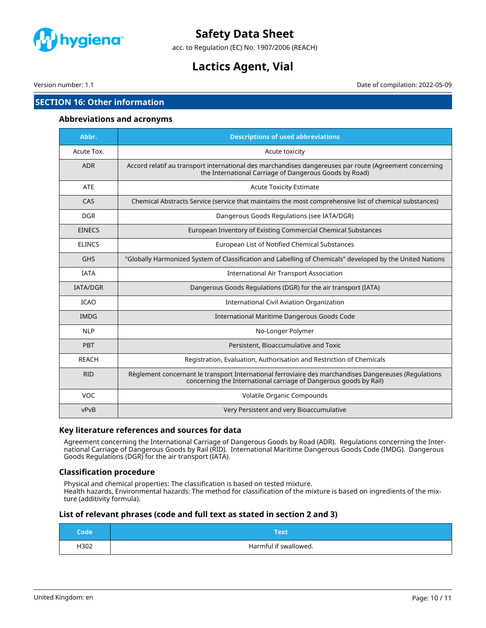

acc. to Regulation (EC) No. 1907/2006 (REACH)

# **Lactics Agent, Vial**

Version number: 1.1 Date of compilation: 2022-05-09

# **SECTION 16: Other information**

#### **Abbreviations and acronyms**

| Abbr.           | <b>Descriptions of used abbreviations</b>                                                                                                                                  |  |
|-----------------|----------------------------------------------------------------------------------------------------------------------------------------------------------------------------|--|
| Acute Tox.      | Acute toxicity                                                                                                                                                             |  |
| <b>ADR</b>      | Accord relatif au transport international des marchandises dangereuses par route (Agreement concerning<br>the International Carriage of Dangerous Goods by Road)           |  |
| <b>ATE</b>      | <b>Acute Toxicity Estimate</b>                                                                                                                                             |  |
| CAS             | Chemical Abstracts Service (service that maintains the most comprehensive list of chemical substances)                                                                     |  |
| <b>DGR</b>      | Dangerous Goods Regulations (see IATA/DGR)                                                                                                                                 |  |
| <b>EINECS</b>   | European Inventory of Existing Commercial Chemical Substances                                                                                                              |  |
| <b>ELINCS</b>   | European List of Notified Chemical Substances                                                                                                                              |  |
| <b>GHS</b>      | "Globally Harmonized System of Classification and Labelling of Chemicals" developed by the United Nations                                                                  |  |
| <b>IATA</b>     | <b>International Air Transport Association</b>                                                                                                                             |  |
| <b>IATA/DGR</b> | Dangerous Goods Regulations (DGR) for the air transport (IATA)                                                                                                             |  |
| <b>ICAO</b>     | <b>International Civil Aviation Organization</b>                                                                                                                           |  |
| <b>IMDG</b>     | International Maritime Dangerous Goods Code                                                                                                                                |  |
| <b>NLP</b>      | No-Longer Polymer                                                                                                                                                          |  |
| PBT             | Persistent, Bioaccumulative and Toxic                                                                                                                                      |  |
| <b>REACH</b>    | Registration, Evaluation, Authorisation and Restriction of Chemicals                                                                                                       |  |
| <b>RID</b>      | Règlement concernant le transport International ferroviaire des marchandises Dangereuses (Regulations<br>concerning the International carriage of Dangerous goods by Rail) |  |
| VOC             | Volatile Organic Compounds                                                                                                                                                 |  |
| vPvB            | Very Persistent and very Bioaccumulative                                                                                                                                   |  |

### **Key literature references and sources for data**

Agreement concerning the International Carriage of Dangerous Goods by Road (ADR). Regulations concerning the International Carriage of Dangerous Goods by Rail (RID). International Maritime Dangerous Goods Code (IMDG). Dangerous Goods Regulations (DGR) for the air transport (IATA).

### **Classification procedure**

Physical and chemical properties: The classification is based on tested mixture. Health hazards, Environmental hazards: The method for classification of the mixture is based on ingredients of the mixture (additivity formula).

### **List of relevant phrases (code and full text as stated in section 2 and 3)**

| Code | Text                  |
|------|-----------------------|
| H302 | Harmful if swallowed. |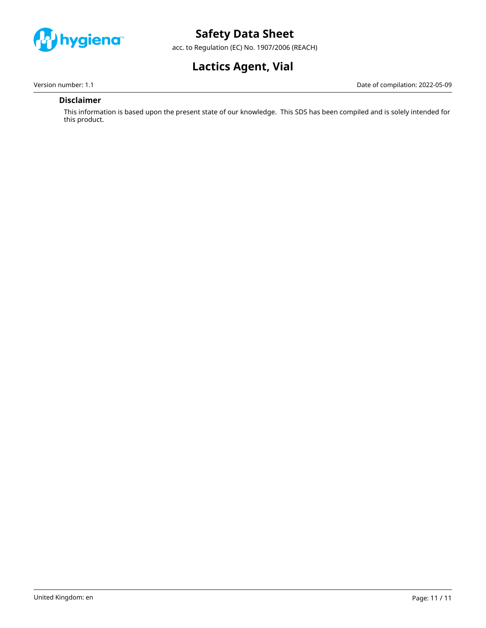

acc. to Regulation (EC) No. 1907/2006 (REACH)

# **Lactics Agent, Vial**

Version number: 1.1 Date of compilation: 2022-05-09

# **Disclaimer**

This information is based upon the present state of our knowledge. This SDS has been compiled and is solely intended for this product.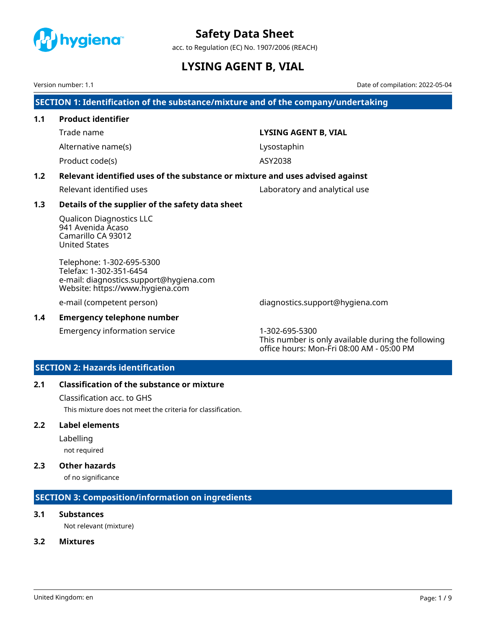<span id="page-24-0"></span>

acc. to Regulation (EC) No. 1907/2006 (REACH)

# **LYSING AGENT B, VIAL**

Version number: 1.1 Date of compilation: 2022-05-04

**SECTION 1: Identification of the substance/mixture and of the company/undertaking**

# **1.1 Product identifier** Trade name **LYSING AGENT B, VIAL**

Alternative name(s) and the control of the system of the system of the system of the system of the system of the system of the system of the system of the system of the system of the system of the system of the system of t

Product code(s) ASY2038

# **1.2 Relevant identified uses of the substance or mixture and uses advised against**

Relevant identified uses Laboratory and analytical use

# **1.3 Details of the supplier of the safety data sheet**

Qualicon Diagnostics LLC 941 Avenida Acaso Camarillo CA 93012 United States

Telephone: 1-302-695-5300 Telefax: 1-302-351-6454 e-mail: diagnostics.support@hygiena.com Website: https://www.hygiena.com

e-mail (competent person) diagnostics.support@hygiena.com

# **1.4 Emergency telephone number**

Emergency information service 1-302-695-5300

This number is only available during the following office hours: Mon-Fri 08:00 AM - 05:00 PM

# **SECTION 2: Hazards identification**

# **2.1 Classification of the substance or mixture**

Classification acc. to GHS

This mixture does not meet the criteria for classification.

# **2.2 Label elements**

Labelling

not required

# **2.3 Other hazards**

of no significance

# **SECTION 3: Composition/information on ingredients**

# **3.1 Substances**

Not relevant (mixture)

# **3.2 Mixtures**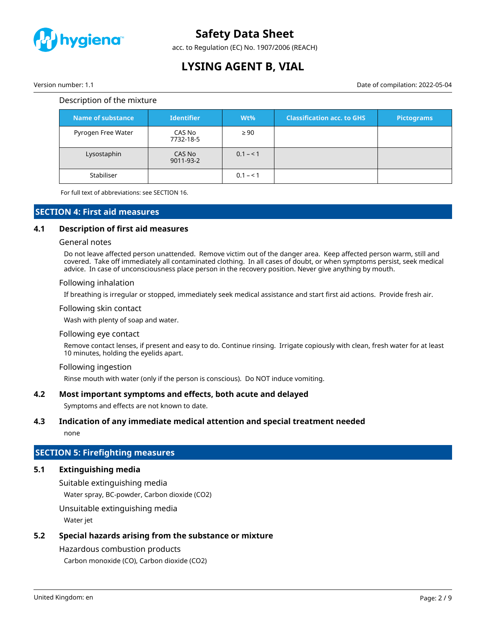

acc. to Regulation (EC) No. 1907/2006 (REACH)

# **LYSING AGENT B, VIAL**

Version number: 1.1 Date of compilation: 2022-05-04

#### Description of the mixture

| Name of substance  | <b>Identifier</b>   | $Wt\%$    | <b>Classification acc. to GHS</b> | <b>Pictograms</b> |
|--------------------|---------------------|-----------|-----------------------------------|-------------------|
| Pyrogen Free Water | CAS No<br>7732-18-5 | $\geq 90$ |                                   |                   |
| Lysostaphin        | CAS No<br>9011-93-2 | $0.1 - 1$ |                                   |                   |
| Stabiliser         |                     | $0.1 - 1$ |                                   |                   |

For full text of abbreviations: see SECTION 16.

### **SECTION 4: First aid measures**

### **4.1 Description of first aid measures**

#### General notes

Do not leave affected person unattended. Remove victim out of the danger area. Keep affected person warm, still and covered. Take off immediately all contaminated clothing. In all cases of doubt, or when symptoms persist, seek medical advice. In case of unconsciousness place person in the recovery position. Never give anything by mouth.

#### Following inhalation

If breathing is irregular or stopped, immediately seek medical assistance and start first aid actions. Provide fresh air.

#### Following skin contact

Wash with plenty of soap and water.

#### Following eye contact

Remove contact lenses, if present and easy to do. Continue rinsing. Irrigate copiously with clean, fresh water for at least 10 minutes, holding the eyelids apart.

#### Following ingestion

Rinse mouth with water (only if the person is conscious). Do NOT induce vomiting.

### **4.2 Most important symptoms and effects, both acute and delayed**

Symptoms and effects are not known to date.

### **4.3 Indication of any immediate medical attention and special treatment needed**

none

### **SECTION 5: Firefighting measures**

### **5.1 Extinguishing media**

Suitable extinguishing media

Water spray, BC-powder, Carbon dioxide (CO2)

Unsuitable extinguishing media

Water jet

# **5.2 Special hazards arising from the substance or mixture**

# Hazardous combustion products

Carbon monoxide (CO), Carbon dioxide (CO2)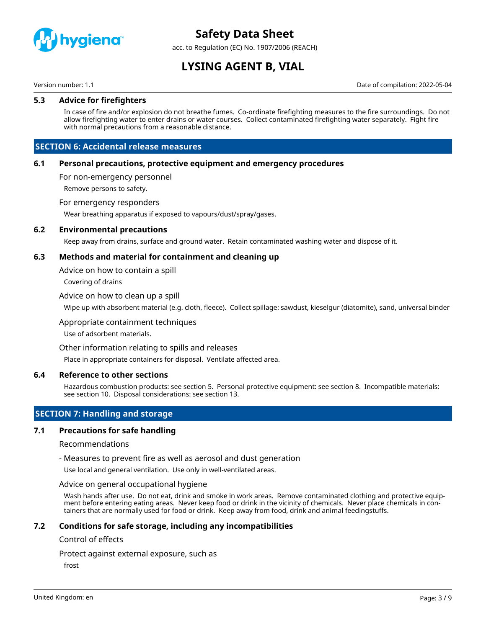

acc. to Regulation (EC) No. 1907/2006 (REACH)

# **LYSING AGENT B, VIAL**

Version number: 1.1 Date of compilation: 2022-05-04

#### **5.3 Advice for firefighters**

In case of fire and/or explosion do not breathe fumes. Co-ordinate firefighting measures to the fire surroundings. Do not allow firefighting water to enter drains or water courses. Collect contaminated firefighting water separately. Fight fire with normal precautions from a reasonable distance.

### **SECTION 6: Accidental release measures**

#### **6.1 Personal precautions, protective equipment and emergency procedures**

For non-emergency personnel

Remove persons to safety.

#### For emergency responders

Wear breathing apparatus if exposed to vapours/dust/spray/gases.

#### **6.2 Environmental precautions**

Keep away from drains, surface and ground water. Retain contaminated washing water and dispose of it.

#### **6.3 Methods and material for containment and cleaning up**

Advice on how to contain a spill

Covering of drains

#### Advice on how to clean up a spill

Wipe up with absorbent material (e.g. cloth, fleece). Collect spillage: sawdust, kieselgur (diatomite), sand, universal binder

#### Appropriate containment techniques

Use of adsorbent materials.

#### Other information relating to spills and releases

Place in appropriate containers for disposal. Ventilate affected area.

#### **6.4 Reference to other sections**

Hazardous combustion products: see section 5. Personal protective equipment: see section 8. Incompatible materials: see section 10. Disposal considerations: see section 13.

# **SECTION 7: Handling and storage**

#### **7.1 Precautions for safe handling**

#### Recommendations

- Measures to prevent fire as well as aerosol and dust generation

Use local and general ventilation. Use only in well-ventilated areas.

#### Advice on general occupational hygiene

Wash hands after use. Do not eat, drink and smoke in work areas. Remove contaminated clothing and protective equipment before entering eating areas. Never keep food or drink in the vicinity of chemicals. Never place chemicals in containers that are normally used for food or drink. Keep away from food, drink and animal feedingstuffs.

#### **7.2 Conditions for safe storage, including any incompatibilities**

#### Control of effects

Protect against external exposure, such as

frost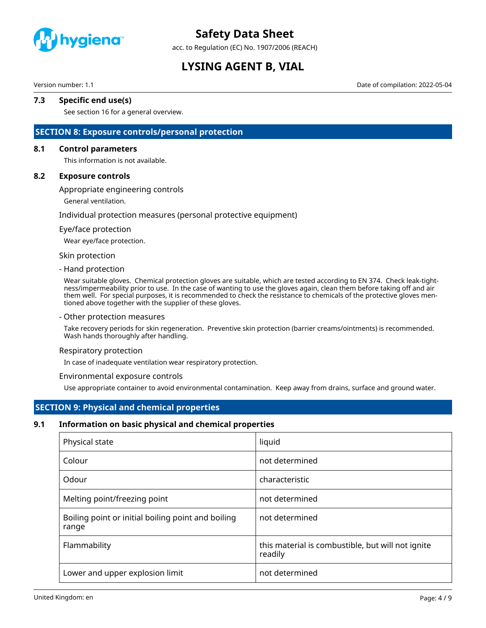

acc. to Regulation (EC) No. 1907/2006 (REACH)

# **LYSING AGENT B, VIAL**

#### Version number: 1.1 Date of compilation: 2022-05-04

# **7.3 Specific end use(s)**

See section 16 for a general overview.

### **SECTION 8: Exposure controls/personal protection**

#### **8.1 Control parameters**

This information is not available.

#### **8.2 Exposure controls**

Appropriate engineering controls

General ventilation.

#### Individual protection measures (personal protective equipment)

#### Eye/face protection

Wear eye/face protection.

#### Skin protection

#### - Hand protection

Wear suitable gloves. Chemical protection gloves are suitable, which are tested according to EN 374. Check leak-tightness/impermeability prior to use. In the case of wanting to use the gloves again, clean them before taking off and air them well. For special purposes, it is recommended to check the resistance to chemicals of the protective gloves mentioned above together with the supplier of these gloves.

#### - Other protection measures

Take recovery periods for skin regeneration. Preventive skin protection (barrier creams/ointments) is recommended. Wash hands thoroughly after handling.

#### Respiratory protection

In case of inadequate ventilation wear respiratory protection.

#### Environmental exposure controls

Use appropriate container to avoid environmental contamination. Keep away from drains, surface and ground water.

### **SECTION 9: Physical and chemical properties**

#### **9.1 Information on basic physical and chemical properties**

| Physical state                                              | liquid                                                       |
|-------------------------------------------------------------|--------------------------------------------------------------|
| Colour                                                      | not determined                                               |
| Odour                                                       | characteristic                                               |
| Melting point/freezing point                                | not determined                                               |
| Boiling point or initial boiling point and boiling<br>range | not determined                                               |
| Flammability                                                | this material is combustible, but will not ignite<br>readily |
| Lower and upper explosion limit                             | not determined                                               |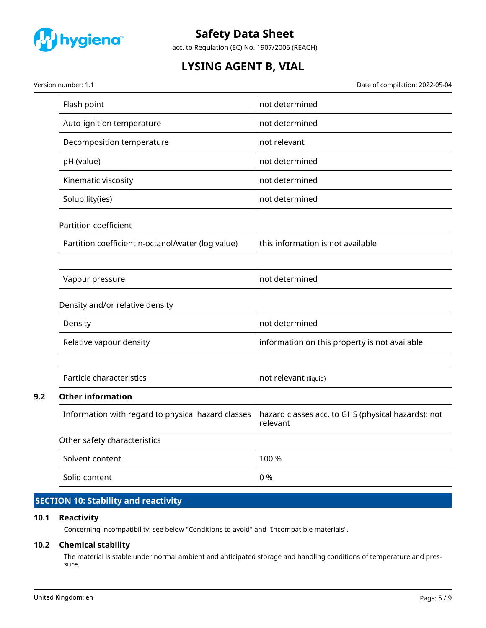

acc. to Regulation (EC) No. 1907/2006 (REACH)

# **LYSING AGENT B, VIAL**

Version number: 1.1 Date of compilation: 2022-05-04

| Flash point               | not determined |
|---------------------------|----------------|
| Auto-ignition temperature | not determined |
| Decomposition temperature | not relevant   |
| pH (value)                | not determined |
| Kinematic viscosity       | not determined |
| Solubility(ies)           | not determined |

### Partition coefficient

| Partition coefficient n-octanol/water (log value) | this information is not available |
|---------------------------------------------------|-----------------------------------|
|                                                   |                                   |

| Vapour pressure | not determined |
|-----------------|----------------|
|-----------------|----------------|

### Density and/or relative density

| Density                 | not determined                                |
|-------------------------|-----------------------------------------------|
| Relative vapour density | information on this property is not available |

| Particle characteristics | not relevant (liquid) |
|--------------------------|-----------------------|
|--------------------------|-----------------------|

### **9.2 Other information**

| Information with regard to physical hazard classes | hazard classes acc. to GHS (physical hazards): not<br>relevant |
|----------------------------------------------------|----------------------------------------------------------------|
| Other safety characteristics                       |                                                                |
| Solvent content                                    | 100 %                                                          |
| Solid content                                      | 0 %                                                            |

# **SECTION 10: Stability and reactivity**

### **10.1 Reactivity**

Concerning incompatibility: see below "Conditions to avoid" and "Incompatible materials".

# **10.2 Chemical stability**

The material is stable under normal ambient and anticipated storage and handling conditions of temperature and pressure.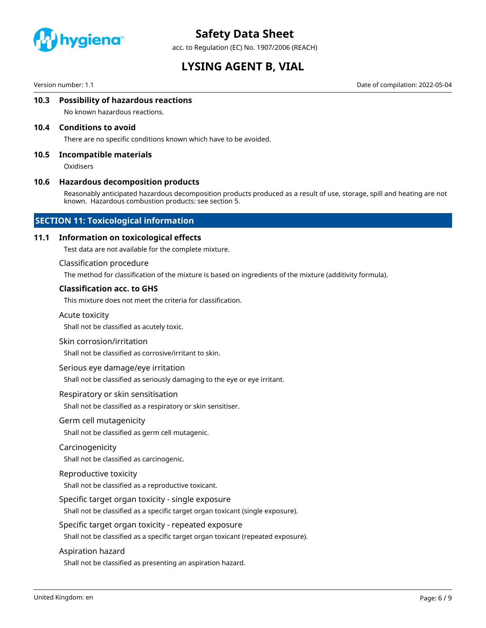

acc. to Regulation (EC) No. 1907/2006 (REACH)

# **LYSING AGENT B, VIAL**

Version number: 1.1 Date of compilation: 2022-05-04

### **10.3 Possibility of hazardous reactions**

No known hazardous reactions.

#### **10.4 Conditions to avoid**

There are no specific conditions known which have to be avoided.

#### **10.5 Incompatible materials**

**Oxidisers** 

#### **10.6 Hazardous decomposition products**

Reasonably anticipated hazardous decomposition products produced as a result of use, storage, spill and heating are not known. Hazardous combustion products: see section 5.

#### **SECTION 11: Toxicological information**

#### **11.1 Information on toxicological effects**

Test data are not available for the complete mixture.

#### Classification procedure

The method for classification of the mixture is based on ingredients of the mixture (additivity formula).

#### **Classification acc. to GHS**

This mixture does not meet the criteria for classification.

#### Acute toxicity

Shall not be classified as acutely toxic.

#### Skin corrosion/irritation

Shall not be classified as corrosive/irritant to skin.

#### Serious eye damage/eye irritation

Shall not be classified as seriously damaging to the eye or eye irritant.

#### Respiratory or skin sensitisation

Shall not be classified as a respiratory or skin sensitiser.

#### Germ cell mutagenicity

Shall not be classified as germ cell mutagenic.

#### Carcinogenicity

Shall not be classified as carcinogenic.

#### Reproductive toxicity

Shall not be classified as a reproductive toxicant.

#### Specific target organ toxicity - single exposure

Shall not be classified as a specific target organ toxicant (single exposure).

#### Specific target organ toxicity - repeated exposure

Shall not be classified as a specific target organ toxicant (repeated exposure).

#### Aspiration hazard

Shall not be classified as presenting an aspiration hazard.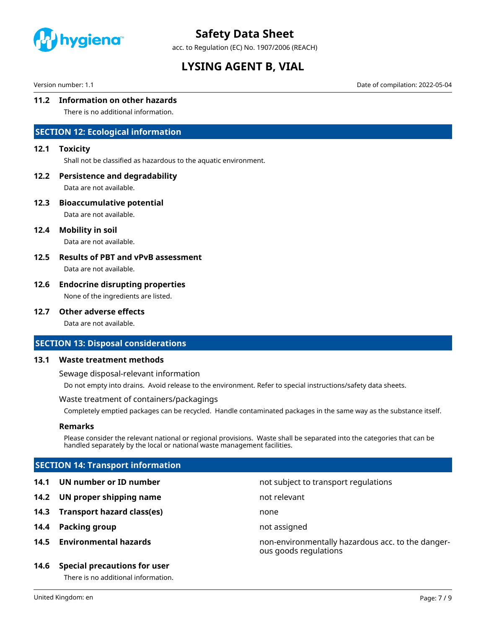

acc. to Regulation (EC) No. 1907/2006 (REACH)

# **LYSING AGENT B, VIAL**

Version number: 1.1 Date of compilation: 2022-05-04

### **11.2 Information on other hazards**

There is no additional information.

# **SECTION 12: Ecological information**

#### **12.1 Toxicity**

Shall not be classified as hazardous to the aquatic environment.

#### **12.2 Persistence and degradability**

Data are not available.

# **12.3 Bioaccumulative potential**

Data are not available.

#### **12.4 Mobility in soil**

Data are not available.

**12.5 Results of PBT and vPvB assessment** Data are not available.

#### **12.6 Endocrine disrupting properties**

None of the ingredients are listed.

#### **12.7 Other adverse effects**

Data are not available.

### **SECTION 13: Disposal considerations**

#### **13.1 Waste treatment methods**

Sewage disposal-relevant information

Do not empty into drains. Avoid release to the environment. Refer to special instructions/safety data sheets.

#### Waste treatment of containers/packagings

Completely emptied packages can be recycled. Handle contaminated packages in the same way as the substance itself.

#### **Remarks**

Please consider the relevant national or regional provisions. Waste shall be separated into the categories that can be handled separately by the local or national waste management facilities.

# **SECTION 14: Transport information**

- **14.1 UN number or ID number not subject to transport regulations**
- **14.2 UN proper shipping name** not relevant
- **14.3 Transport hazard class(es)** none
- **14.4 Packing group not assigned**
- 

### **14.6 Special precautions for user**

There is no additional information.

**14.5 Environmental hazards** non-environmentally hazardous acc. to the dangerous goods regulations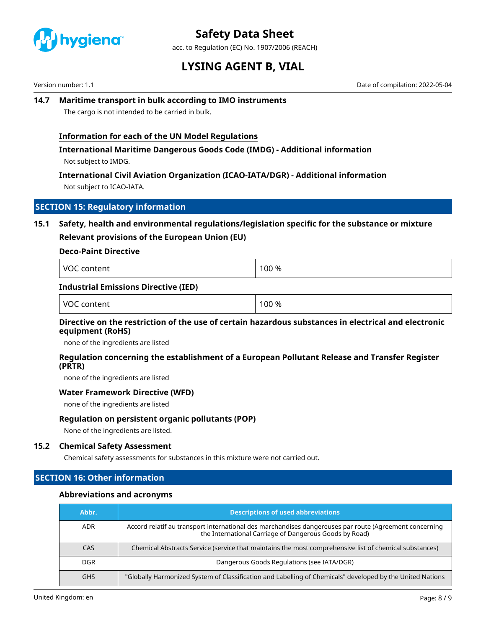

acc. to Regulation (EC) No. 1907/2006 (REACH)

# **LYSING AGENT B, VIAL**

Version number: 1.1 Date of compilation: 2022-05-04

# **14.7 Maritime transport in bulk according to IMO instruments**

The cargo is not intended to be carried in bulk.

### **Information for each of the UN Model Regulations**

**International Maritime Dangerous Goods Code (IMDG) - Additional information** Not subject to IMDG.

# **International Civil Aviation Organization (ICAO-IATA/DGR) - Additional information** Not subject to ICAO-IATA.

### **SECTION 15: Regulatory information**

# **15.1 Safety, health and environmental regulations/legislation specific for the substance or mixture Relevant provisions of the European Union (EU)**

### **Deco-Paint Directive**

| $00\%$<br>$\mathsf{V}$<br>.<br>$\sim$ |
|---------------------------------------|
|---------------------------------------|

### **Industrial Emissions Directive (IED)**

| VOC content | 100 % |
|-------------|-------|
|-------------|-------|

# **Directive on the restriction of the use of certain hazardous substances in electrical and electronic equipment (RoHS)**

none of the ingredients are listed

### **Regulation concerning the establishment of a European Pollutant Release and Transfer Register (PRTR)**

none of the ingredients are listed

### **Water Framework Directive (WFD)**

none of the ingredients are listed

### **Regulation on persistent organic pollutants (POP)**

None of the ingredients are listed.

### **15.2 Chemical Safety Assessment**

Chemical safety assessments for substances in this mixture were not carried out.

# **SECTION 16: Other information**

#### **Abbreviations and acronyms**

| Abbr.      | <b>Descriptions of used abbreviations</b>                                                                                                                        |  |
|------------|------------------------------------------------------------------------------------------------------------------------------------------------------------------|--|
| <b>ADR</b> | Accord relatif au transport international des marchandises dangereuses par route (Agreement concerning<br>the International Carriage of Dangerous Goods by Road) |  |
| CAS        | Chemical Abstracts Service (service that maintains the most comprehensive list of chemical substances)                                                           |  |
| <b>DGR</b> | Dangerous Goods Regulations (see IATA/DGR)                                                                                                                       |  |
| <b>GHS</b> | "Globally Harmonized System of Classification and Labelling of Chemicals" developed by the United Nations                                                        |  |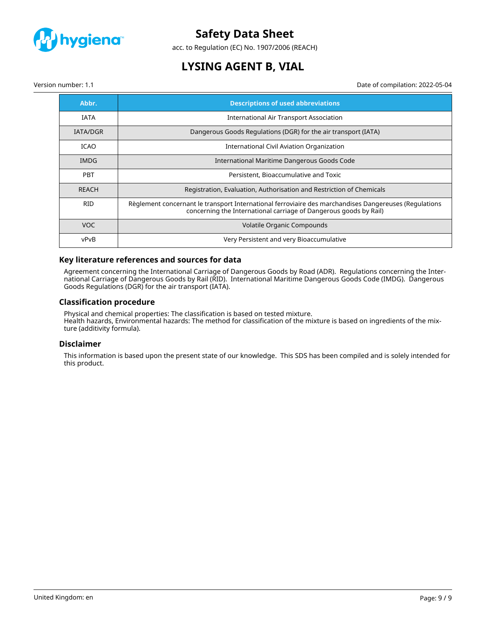

acc. to Regulation (EC) No. 1907/2006 (REACH)

# **LYSING AGENT B, VIAL**

Version number: 1.1 Date of compilation: 2022-05-04

| Abbr.           | <b>Descriptions of used abbreviations</b>                                                                                                                                  |  |
|-----------------|----------------------------------------------------------------------------------------------------------------------------------------------------------------------------|--|
| <b>IATA</b>     | International Air Transport Association                                                                                                                                    |  |
| <b>IATA/DGR</b> | Dangerous Goods Regulations (DGR) for the air transport (IATA)                                                                                                             |  |
| ICAO            | International Civil Aviation Organization                                                                                                                                  |  |
| <b>IMDG</b>     | International Maritime Dangerous Goods Code                                                                                                                                |  |
| <b>PBT</b>      | Persistent, Bioaccumulative and Toxic                                                                                                                                      |  |
| <b>REACH</b>    | Registration, Evaluation, Authorisation and Restriction of Chemicals                                                                                                       |  |
| <b>RID</b>      | Règlement concernant le transport International ferroviaire des marchandises Dangereuses (Regulations<br>concerning the International carriage of Dangerous goods by Rail) |  |
| VOC.            | <b>Volatile Organic Compounds</b>                                                                                                                                          |  |
| vPvB            | Very Persistent and very Bioaccumulative                                                                                                                                   |  |

### **Key literature references and sources for data**

Agreement concerning the International Carriage of Dangerous Goods by Road (ADR). Regulations concerning the International Carriage of Dangerous Goods by Rail (RID). International Maritime Dangerous Goods Code (IMDG). Dangerous Goods Regulations (DGR) for the air transport (IATA).

#### **Classification procedure**

Physical and chemical properties: The classification is based on tested mixture. Health hazards, Environmental hazards: The method for classification of the mixture is based on ingredients of the mixture (additivity formula).

#### **Disclaimer**

This information is based upon the present state of our knowledge. This SDS has been compiled and is solely intended for this product.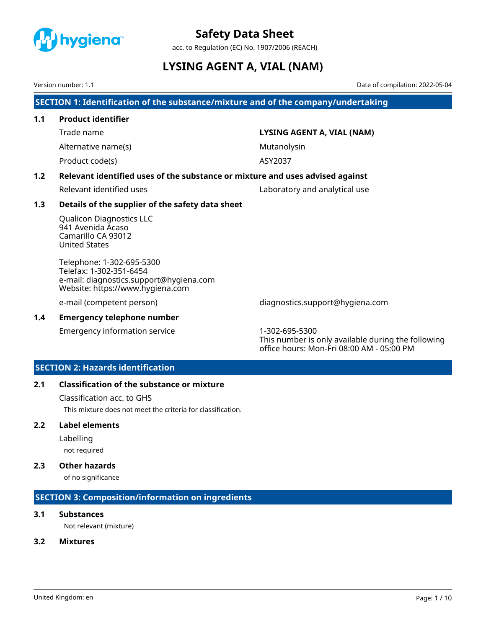<span id="page-33-0"></span>

acc. to Regulation (EC) No. 1907/2006 (REACH)

# **LYSING AGENT A, VIAL (NAM)**

Version number: 1.1 Date of compilation: 2022-05-04

**SECTION 1: Identification of the substance/mixture and of the company/undertaking**

# **1.1 Product identifier** Trade name **LYSING AGENT A, VIAL (NAM)** Alternative name(s) and the matrix of the Mutanolysin Mutanolysin

Product code(s) ASY2037

# **1.2 Relevant identified uses of the substance or mixture and uses advised against**

Relevant identified uses Laboratory and analytical use

# **1.3 Details of the supplier of the safety data sheet**

Qualicon Diagnostics LLC 941 Avenida Acaso Camarillo CA 93012 United States

Telephone: 1-302-695-5300 Telefax: 1-302-351-6454 e-mail: diagnostics.support@hygiena.com Website: https://www.hygiena.com

e-mail (competent person) diagnostics.support@hygiena.com

### **1.4 Emergency telephone number**

Emergency information service 1-302-695-5300

This number is only available during the following office hours: Mon-Fri 08:00 AM - 05:00 PM

# **SECTION 2: Hazards identification**

# **2.1 Classification of the substance or mixture**

Classification acc. to GHS

This mixture does not meet the criteria for classification.

### **2.2 Label elements**

Labelling

not required

### **2.3 Other hazards**

of no significance

# **SECTION 3: Composition/information on ingredients**

# **3.1 Substances**

Not relevant (mixture)

# **3.2 Mixtures**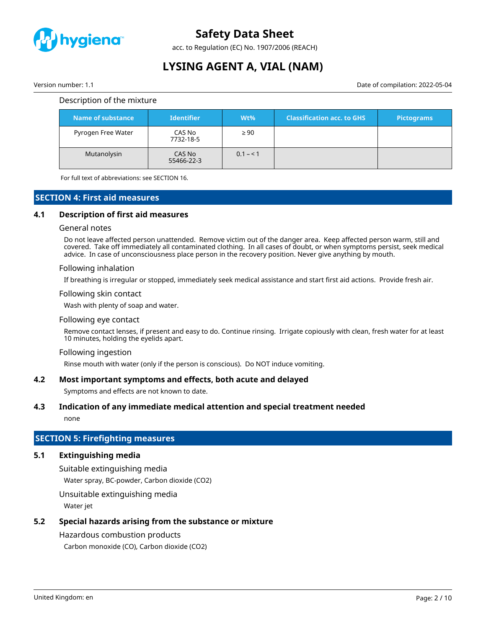

acc. to Regulation (EC) No. 1907/2006 (REACH)

# **LYSING AGENT A, VIAL (NAM)**

Version number: 1.1 Date of compilation: 2022-05-04

#### Description of the mixture

| Name of substance  | <b>Identifier</b>    | $Wt\%$    | <b>Classification acc. to GHS</b> | <b>Pictograms</b> |
|--------------------|----------------------|-----------|-----------------------------------|-------------------|
| Pyrogen Free Water | CAS No<br>7732-18-5  | $\geq 90$ |                                   |                   |
| Mutanolysin        | CAS No<br>55466-22-3 | $0.1 - 1$ |                                   |                   |

For full text of abbreviations: see SECTION 16.

### **SECTION 4: First aid measures**

#### **4.1 Description of first aid measures**

#### General notes

Do not leave affected person unattended. Remove victim out of the danger area. Keep affected person warm, still and covered. Take off immediately all contaminated clothing. In all cases of doubt, or when symptoms persist, seek medical advice. In case of unconsciousness place person in the recovery position. Never give anything by mouth.

#### Following inhalation

If breathing is irregular or stopped, immediately seek medical assistance and start first aid actions. Provide fresh air.

#### Following skin contact

Wash with plenty of soap and water.

#### Following eye contact

Remove contact lenses, if present and easy to do. Continue rinsing. Irrigate copiously with clean, fresh water for at least 10 minutes, holding the eyelids apart.

#### Following ingestion

Rinse mouth with water (only if the person is conscious). Do NOT induce vomiting.

#### **4.2 Most important symptoms and effects, both acute and delayed**

Symptoms and effects are not known to date.

#### **4.3 Indication of any immediate medical attention and special treatment needed**

none

# **SECTION 5: Firefighting measures**

# **5.1 Extinguishing media**

Suitable extinguishing media

Water spray, BC-powder, Carbon dioxide (CO2)

Unsuitable extinguishing media

Water jet

# **5.2 Special hazards arising from the substance or mixture**

# Hazardous combustion products

Carbon monoxide (CO), Carbon dioxide (CO2)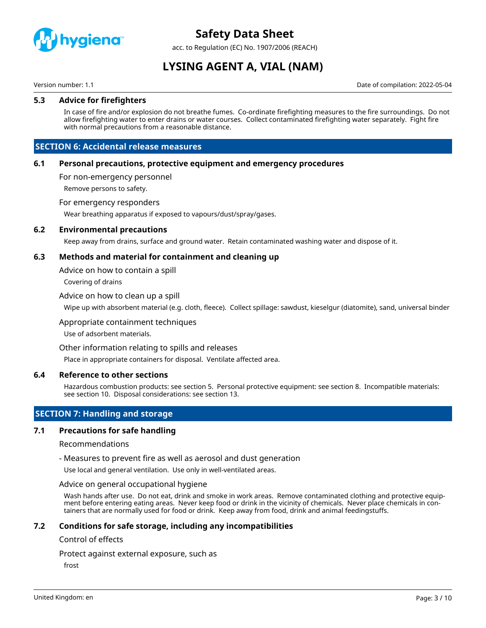

acc. to Regulation (EC) No. 1907/2006 (REACH)

# **LYSING AGENT A, VIAL (NAM)**

Version number: 1.1 Date of compilation: 2022-05-04

### **5.3 Advice for firefighters**

In case of fire and/or explosion do not breathe fumes. Co-ordinate firefighting measures to the fire surroundings. Do not allow firefighting water to enter drains or water courses. Collect contaminated firefighting water separately. Fight fire with normal precautions from a reasonable distance.

### **SECTION 6: Accidental release measures**

#### **6.1 Personal precautions, protective equipment and emergency procedures**

For non-emergency personnel

Remove persons to safety.

#### For emergency responders

Wear breathing apparatus if exposed to vapours/dust/spray/gases.

#### **6.2 Environmental precautions**

Keep away from drains, surface and ground water. Retain contaminated washing water and dispose of it.

#### **6.3 Methods and material for containment and cleaning up**

Advice on how to contain a spill

Covering of drains

#### Advice on how to clean up a spill

Wipe up with absorbent material (e.g. cloth, fleece). Collect spillage: sawdust, kieselgur (diatomite), sand, universal binder

#### Appropriate containment techniques

Use of adsorbent materials.

#### Other information relating to spills and releases

Place in appropriate containers for disposal. Ventilate affected area.

#### **6.4 Reference to other sections**

Hazardous combustion products: see section 5. Personal protective equipment: see section 8. Incompatible materials: see section 10. Disposal considerations: see section 13.

# **SECTION 7: Handling and storage**

#### **7.1 Precautions for safe handling**

#### Recommendations

- Measures to prevent fire as well as aerosol and dust generation

Use local and general ventilation. Use only in well-ventilated areas.

#### Advice on general occupational hygiene

Wash hands after use. Do not eat, drink and smoke in work areas. Remove contaminated clothing and protective equipment before entering eating areas. Never keep food or drink in the vicinity of chemicals. Never place chemicals in containers that are normally used for food or drink. Keep away from food, drink and animal feedingstuffs.

### **7.2 Conditions for safe storage, including any incompatibilities**

#### Control of effects

Protect against external exposure, such as

frost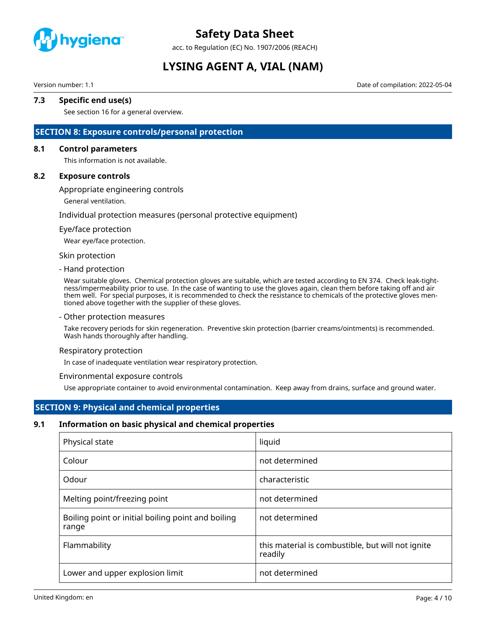

acc. to Regulation (EC) No. 1907/2006 (REACH)

# **LYSING AGENT A, VIAL (NAM)**

Version number: 1.1 Date of compilation: 2022-05-04

# **7.3 Specific end use(s)**

See section 16 for a general overview.

### **SECTION 8: Exposure controls/personal protection**

#### **8.1 Control parameters**

This information is not available.

#### **8.2 Exposure controls**

Appropriate engineering controls

General ventilation.

#### Individual protection measures (personal protective equipment)

#### Eye/face protection

Wear eye/face protection.

#### Skin protection

#### - Hand protection

Wear suitable gloves. Chemical protection gloves are suitable, which are tested according to EN 374. Check leak-tightness/impermeability prior to use. In the case of wanting to use the gloves again, clean them before taking off and air them well. For special purposes, it is recommended to check the resistance to chemicals of the protective gloves mentioned above together with the supplier of these gloves.

#### - Other protection measures

Take recovery periods for skin regeneration. Preventive skin protection (barrier creams/ointments) is recommended. Wash hands thoroughly after handling.

#### Respiratory protection

In case of inadequate ventilation wear respiratory protection.

#### Environmental exposure controls

Use appropriate container to avoid environmental contamination. Keep away from drains, surface and ground water.

### **SECTION 9: Physical and chemical properties**

#### **9.1 Information on basic physical and chemical properties**

| Physical state                                              | liquid                                                       |
|-------------------------------------------------------------|--------------------------------------------------------------|
| Colour                                                      | not determined                                               |
| Odour                                                       | characteristic                                               |
| Melting point/freezing point                                | not determined                                               |
| Boiling point or initial boiling point and boiling<br>range | not determined                                               |
| Flammability                                                | this material is combustible, but will not ignite<br>readily |
| Lower and upper explosion limit                             | not determined                                               |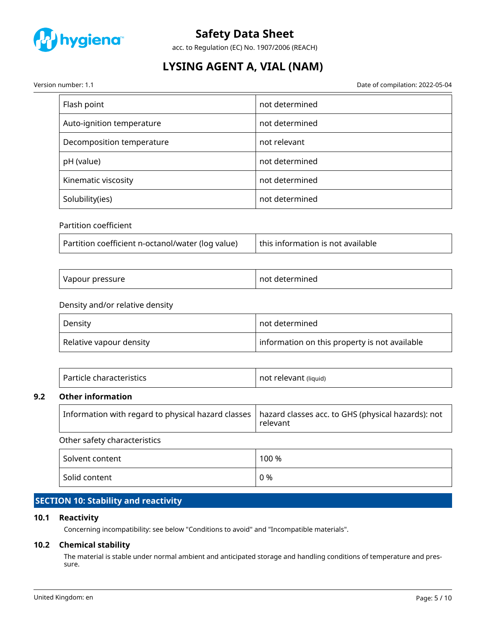

acc. to Regulation (EC) No. 1907/2006 (REACH)

# **LYSING AGENT A, VIAL (NAM)**

Version number: 1.1 Date of compilation: 2022-05-04

| Flash point               | not determined |
|---------------------------|----------------|
| Auto-ignition temperature | not determined |
| Decomposition temperature | not relevant   |
| pH (value)                | not determined |
| Kinematic viscosity       | not determined |
| Solubility(ies)           | not determined |

### Partition coefficient

| this information is not available |
|-----------------------------------|
|                                   |

| Vapour pressure | not determined |
|-----------------|----------------|
|-----------------|----------------|

### Density and/or relative density

| Density                 | not determined                                |
|-------------------------|-----------------------------------------------|
| Relative vapour density | information on this property is not available |

| Particle characteristics | not relevant (liquid) |
|--------------------------|-----------------------|
|--------------------------|-----------------------|

### **9.2 Other information**

| Information with regard to physical hazard classes   hazard classes acc. to GHS (physical hazards): not | relevant |
|---------------------------------------------------------------------------------------------------------|----------|
| Other safety characteristics                                                                            |          |
| Solvent content                                                                                         | 100 %    |
| Solid content                                                                                           | 0 %      |

# **SECTION 10: Stability and reactivity**

### **10.1 Reactivity**

Concerning incompatibility: see below "Conditions to avoid" and "Incompatible materials".

# **10.2 Chemical stability**

The material is stable under normal ambient and anticipated storage and handling conditions of temperature and pressure.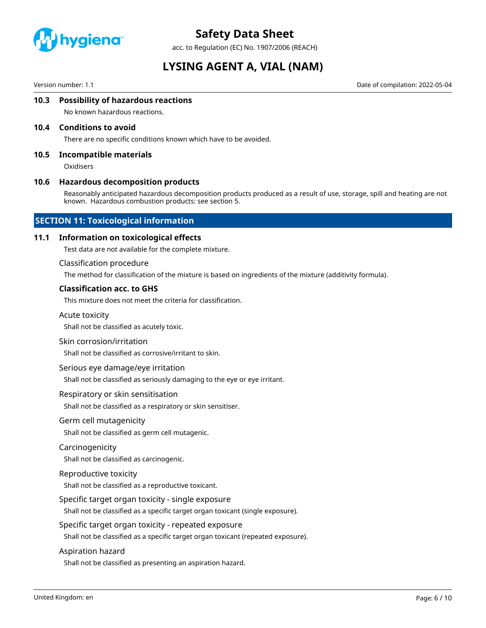

acc. to Regulation (EC) No. 1907/2006 (REACH)

# **LYSING AGENT A, VIAL (NAM)**

Version number: 1.1 Date of compilation: 2022-05-04

### **10.3 Possibility of hazardous reactions**

No known hazardous reactions.

#### **10.4 Conditions to avoid**

There are no specific conditions known which have to be avoided.

#### **10.5 Incompatible materials**

**Oxidisers** 

#### **10.6 Hazardous decomposition products**

Reasonably anticipated hazardous decomposition products produced as a result of use, storage, spill and heating are not known. Hazardous combustion products: see section 5.

### **SECTION 11: Toxicological information**

#### **11.1 Information on toxicological effects**

Test data are not available for the complete mixture.

#### Classification procedure

The method for classification of the mixture is based on ingredients of the mixture (additivity formula).

#### **Classification acc. to GHS**

This mixture does not meet the criteria for classification.

#### Acute toxicity

Shall not be classified as acutely toxic.

#### Skin corrosion/irritation

Shall not be classified as corrosive/irritant to skin.

#### Serious eye damage/eye irritation

Shall not be classified as seriously damaging to the eye or eye irritant.

#### Respiratory or skin sensitisation

Shall not be classified as a respiratory or skin sensitiser.

#### Germ cell mutagenicity

Shall not be classified as germ cell mutagenic.

#### Carcinogenicity

Shall not be classified as carcinogenic.

#### Reproductive toxicity

Shall not be classified as a reproductive toxicant.

#### Specific target organ toxicity - single exposure

Shall not be classified as a specific target organ toxicant (single exposure).

#### Specific target organ toxicity - repeated exposure

Shall not be classified as a specific target organ toxicant (repeated exposure).

#### Aspiration hazard

Shall not be classified as presenting an aspiration hazard.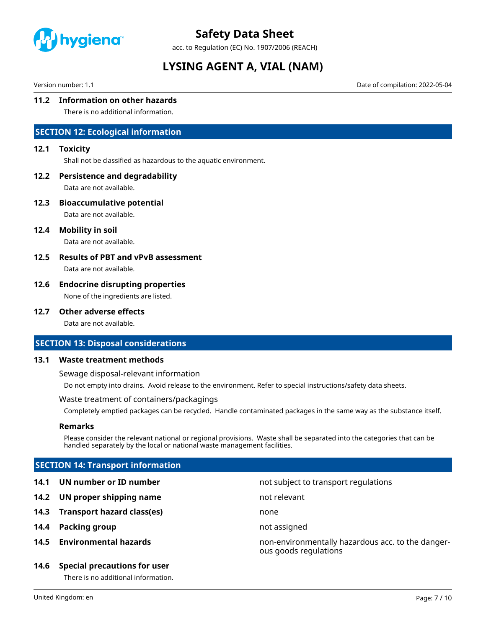

acc. to Regulation (EC) No. 1907/2006 (REACH)

# **LYSING AGENT A, VIAL (NAM)**

Version number: 1.1 Date of compilation: 2022-05-04

### **11.2 Information on other hazards**

There is no additional information.

### **SECTION 12: Ecological information**

#### **12.1 Toxicity**

Shall not be classified as hazardous to the aquatic environment.

#### **12.2 Persistence and degradability**

Data are not available.

# **12.3 Bioaccumulative potential**

Data are not available.

#### **12.4 Mobility in soil**

Data are not available.

**12.5 Results of PBT and vPvB assessment** Data are not available.

#### **12.6 Endocrine disrupting properties**

None of the ingredients are listed.

#### **12.7 Other adverse effects**

Data are not available.

### **SECTION 13: Disposal considerations**

#### **13.1 Waste treatment methods**

Sewage disposal-relevant information

Do not empty into drains. Avoid release to the environment. Refer to special instructions/safety data sheets.

#### Waste treatment of containers/packagings

Completely emptied packages can be recycled. Handle contaminated packages in the same way as the substance itself.

#### **Remarks**

Please consider the relevant national or regional provisions. Waste shall be separated into the categories that can be handled separately by the local or national waste management facilities.

# **SECTION 14: Transport information**

- **14.1 UN number or ID number not subject to transport regulations**
- **14.2 UN proper shipping name** not relevant
- **14.3 Transport hazard class(es)** none
- **14.4 Packing group not assigned**
- 

### **14.6 Special precautions for user**

There is no additional information.

**14.5 Environmental hazards** non-environmentally hazardous acc. to the dangerous goods regulations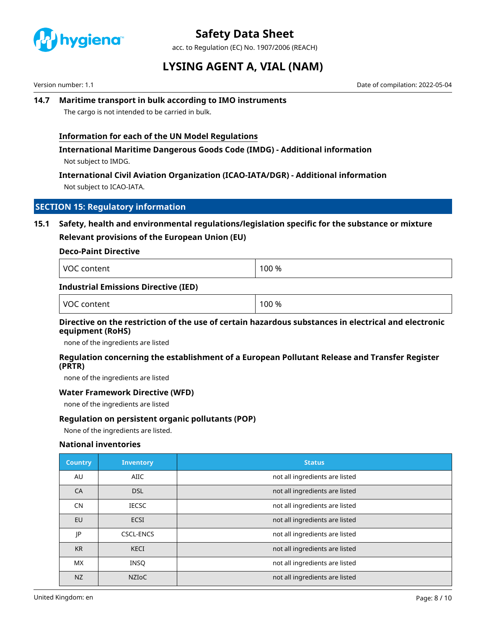

acc. to Regulation (EC) No. 1907/2006 (REACH)

# **LYSING AGENT A, VIAL (NAM)**

Version number: 1.1 Date of compilation: 2022-05-04

# **14.7 Maritime transport in bulk according to IMO instruments**

The cargo is not intended to be carried in bulk.

### **Information for each of the UN Model Regulations**

**International Maritime Dangerous Goods Code (IMDG) - Additional information** Not subject to IMDG.

# **International Civil Aviation Organization (ICAO-IATA/DGR) - Additional information** Not subject to ICAO-IATA.

### **SECTION 15: Regulatory information**

# **15.1 Safety, health and environmental regulations/legislation specific for the substance or mixture Relevant provisions of the European Union (EU)**

### **Deco-Paint Directive**

| 00 %<br>. |
|-----------|
|-----------|

### **Industrial Emissions Directive (IED)**

| VOC content | 100 % |
|-------------|-------|
|-------------|-------|

# **Directive on the restriction of the use of certain hazardous substances in electrical and electronic equipment (RoHS)**

none of the ingredients are listed

### **Regulation concerning the establishment of a European Pollutant Release and Transfer Register (PRTR)**

none of the ingredients are listed

### **Water Framework Directive (WFD)**

none of the ingredients are listed

### **Regulation on persistent organic pollutants (POP)**

None of the ingredients are listed.

### **National inventories**

| <b>Country</b> | <b>Inventory</b> | <b>Status</b>                  |
|----------------|------------------|--------------------------------|
| AU             | AIIC             | not all ingredients are listed |
| <b>CA</b>      | <b>DSL</b>       | not all ingredients are listed |
| <b>CN</b>      | <b>IECSC</b>     | not all ingredients are listed |
| EU             | <b>ECSI</b>      | not all ingredients are listed |
| ΙP             | <b>CSCL-ENCS</b> | not all ingredients are listed |
| <b>KR</b>      | <b>KECI</b>      | not all ingredients are listed |
| <b>MX</b>      | <b>INSO</b>      | not all ingredients are listed |
| <b>NZ</b>      | <b>NZIOC</b>     | not all ingredients are listed |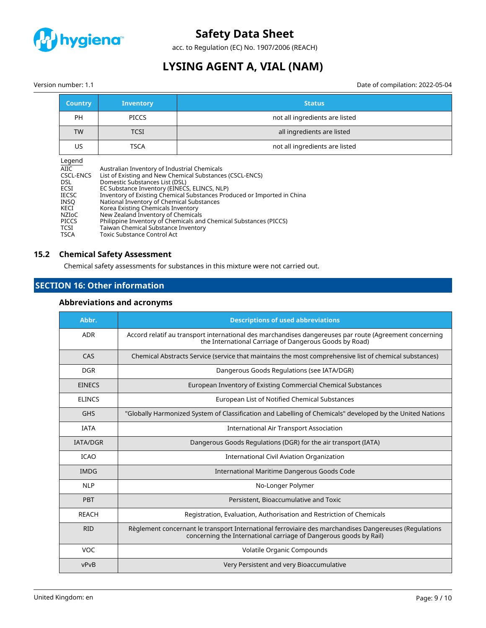

acc. to Regulation (EC) No. 1907/2006 (REACH)

# **LYSING AGENT A, VIAL (NAM)**

Version number: 1.1 Date of compilation: 2022-05-04

| <b>Country</b>                                                                                                                                                                                                                                                                                                                                                                                                                                                                  | <b>Inventory</b> | <b>Status</b>                  |
|---------------------------------------------------------------------------------------------------------------------------------------------------------------------------------------------------------------------------------------------------------------------------------------------------------------------------------------------------------------------------------------------------------------------------------------------------------------------------------|------------------|--------------------------------|
| <b>PH</b>                                                                                                                                                                                                                                                                                                                                                                                                                                                                       | <b>PICCS</b>     | not all ingredients are listed |
| <b>TW</b>                                                                                                                                                                                                                                                                                                                                                                                                                                                                       | <b>TCSI</b>      | all ingredients are listed     |
| US.                                                                                                                                                                                                                                                                                                                                                                                                                                                                             | <b>TSCA</b>      | not all ingredients are listed |
| Legend<br>AIIC<br>Australian Inventory of Industrial Chemicals<br>List of Existing and New Chemical Substances (CSCL-ENCS)<br>CSCL-ENCS<br>Domestic Substances List (DSL)<br>DSL.<br>EC Substance Inventory (EINECS, ELINCS, NLP)<br>ECSI<br>Inventory of Existing Chemical Substances Produced or Imported in China<br>IECSC<br>National Inventory of Chemical Substances<br>INSO<br>Korea Existing Chemicals Inventory<br>KECI<br>New Zealand Inventory of Chemicals<br>NZIoC |                  |                                |

- PICCS Philippine Inventory of Chemicals and Chemical Substances (PICCS)
- 
- TCSI Taiwan Chemical Substance Inventory<br>
TSCA Toxic Substance Control Act Toxic Substance Control Act

### **15.2 Chemical Safety Assessment**

Chemical safety assessments for substances in this mixture were not carried out.

# **SECTION 16: Other information**

### **Abbreviations and acronyms**

| Abbr.           | <b>Descriptions of used abbreviations</b>                                                                                                                                  |
|-----------------|----------------------------------------------------------------------------------------------------------------------------------------------------------------------------|
| <b>ADR</b>      | Accord relatif au transport international des marchandises dangereuses par route (Agreement concerning<br>the International Carriage of Dangerous Goods by Road)           |
| CAS             | Chemical Abstracts Service (service that maintains the most comprehensive list of chemical substances)                                                                     |
| <b>DGR</b>      | Dangerous Goods Regulations (see IATA/DGR)                                                                                                                                 |
| <b>EINECS</b>   | European Inventory of Existing Commercial Chemical Substances                                                                                                              |
| <b>ELINCS</b>   | European List of Notified Chemical Substances                                                                                                                              |
| <b>GHS</b>      | "Globally Harmonized System of Classification and Labelling of Chemicals" developed by the United Nations                                                                  |
| <b>IATA</b>     | <b>International Air Transport Association</b>                                                                                                                             |
| <b>IATA/DGR</b> | Dangerous Goods Regulations (DGR) for the air transport (IATA)                                                                                                             |
| <b>ICAO</b>     | International Civil Aviation Organization                                                                                                                                  |
| <b>IMDG</b>     | International Maritime Dangerous Goods Code                                                                                                                                |
| <b>NLP</b>      | No-Longer Polymer                                                                                                                                                          |
| PBT             | Persistent, Bioaccumulative and Toxic                                                                                                                                      |
| <b>REACH</b>    | Registration, Evaluation, Authorisation and Restriction of Chemicals                                                                                                       |
| <b>RID</b>      | Règlement concernant le transport International ferroviaire des marchandises Dangereuses (Regulations<br>concerning the International carriage of Dangerous goods by Rail) |
| <b>VOC</b>      | Volatile Organic Compounds                                                                                                                                                 |
| vPvB            | Very Persistent and very Bioaccumulative                                                                                                                                   |